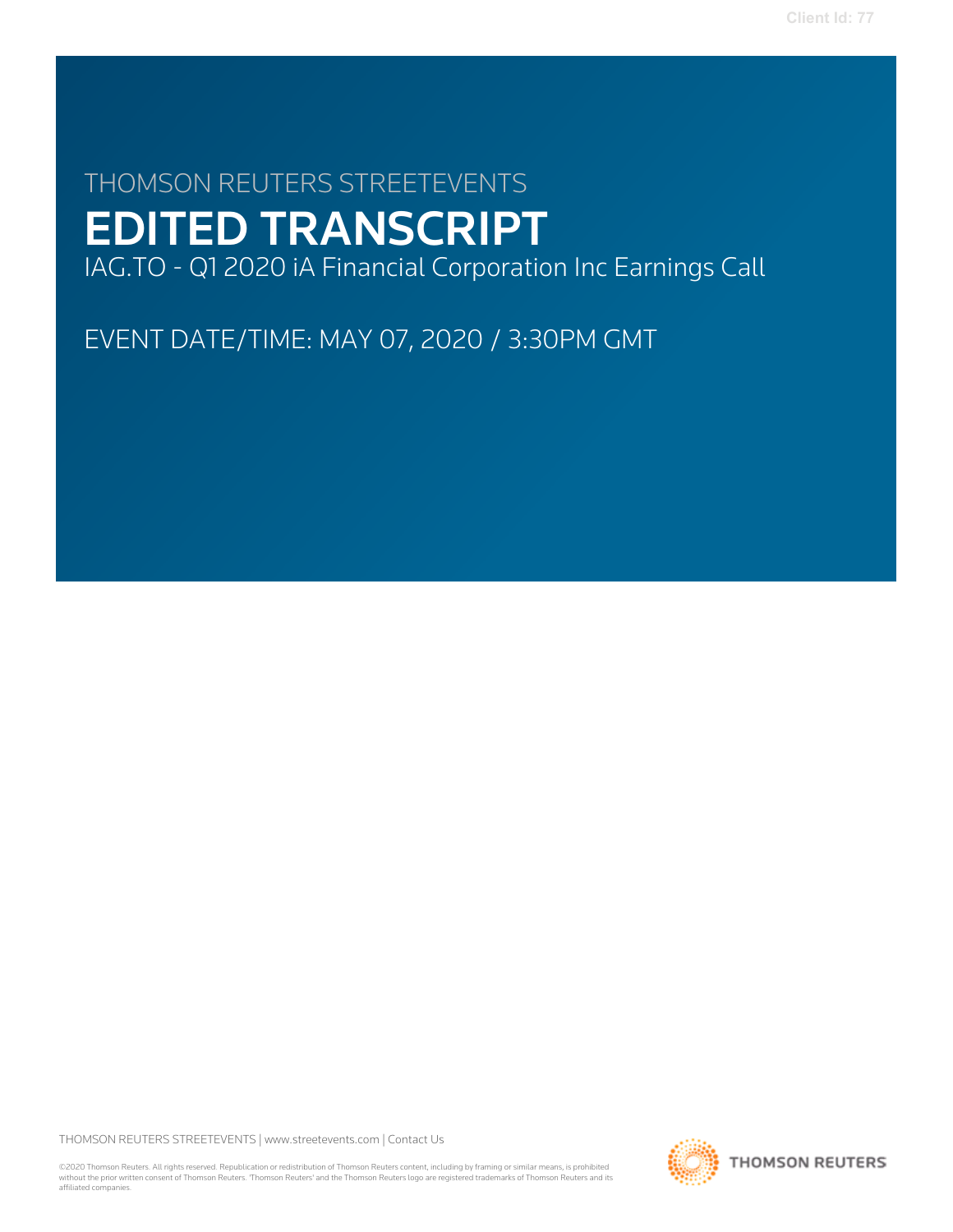# THOMSON REUTERS STREETEVENTS EDITED TRANSCRIPT IAG.TO - Q1 2020 iA Financial Corporation Inc Earnings Call

EVENT DATE/TIME: MAY 07, 2020 / 3:30PM GMT

THOMSON REUTERS STREETEVENTS | [www.streetevents.com](http://www.streetevents.com) | [Contact Us](http://www010.streetevents.com/contact.asp)

©2020 Thomson Reuters. All rights reserved. Republication or redistribution of Thomson Reuters content, including by framing or similar means, is prohibited without the prior written consent of Thomson Reuters. 'Thomson Reuters' and the Thomson Reuters logo are registered trademarks of Thomson Reuters and its affiliated companies.

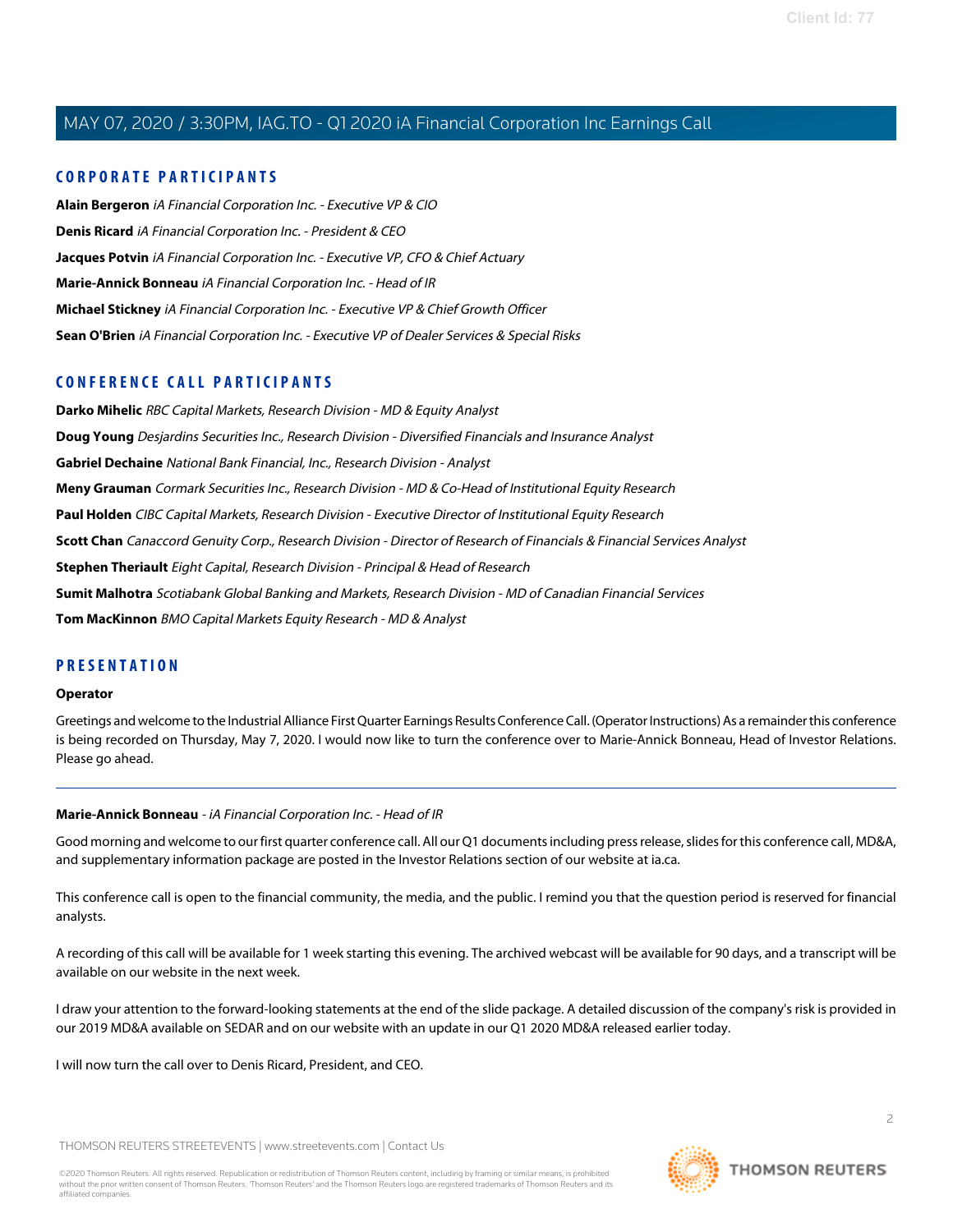# **CORPORATE PARTICIPANTS**

**[Alain Bergeron](#page-5-0)** iA Financial Corporation Inc. - Executive VP & CIO **[Denis Ricard](#page-2-0)** iA Financial Corporation Inc. - President & CEO **[Jacques Potvin](#page-4-0)** iA Financial Corporation Inc. - Executive VP, CFO & Chief Actuary **[Marie-Annick Bonneau](#page-1-0)** iA Financial Corporation Inc. - Head of IR **[Michael Stickney](#page-3-0)** iA Financial Corporation Inc. - Executive VP & Chief Growth Officer **[Sean O'Brien](#page-10-0)** iA Financial Corporation Inc. - Executive VP of Dealer Services & Special Risks

# **CONFERENCE CALL PARTICIPANTS**

**[Darko Mihelic](#page-19-0)** RBC Capital Markets, Research Division - MD & Equity Analyst **[Doug Young](#page-13-0)** Desjardins Securities Inc., Research Division - Diversified Financials and Insurance Analyst **[Gabriel Dechaine](#page-18-0)** National Bank Financial, Inc., Research Division - Analyst **[Meny Grauman](#page-12-0)** Cormark Securities Inc., Research Division - MD & Co-Head of Institutional Equity Research **[Paul Holden](#page-11-0)** CIBC Capital Markets, Research Division - Executive Director of Institutional Equity Research **[Scott Chan](#page-10-1)** Canaccord Genuity Corp., Research Division - Director of Research of Financials & Financial Services Analyst **[Stephen Theriault](#page-16-0)** Eight Capital, Research Division - Principal & Head of Research **[Sumit Malhotra](#page-21-0)** Scotiabank Global Banking and Markets, Research Division - MD of Canadian Financial Services **[Tom MacKinnon](#page-7-0)** BMO Capital Markets Equity Research - MD & Analyst

# **PRESENTATION**

#### **Operator**

<span id="page-1-0"></span>Greetings and welcome to the Industrial Alliance First Quarter Earnings Results Conference Call. (Operator Instructions) As a remainder this conference is being recorded on Thursday, May 7, 2020. I would now like to turn the conference over to Marie-Annick Bonneau, Head of Investor Relations. Please go ahead.

# **Marie-Annick Bonneau** - iA Financial Corporation Inc. - Head of IR

Good morning and welcome to our first quarter conference call. All our Q1 documents including press release, slides for this conference call, MD&A, and supplementary information package are posted in the Investor Relations section of our website at ia.ca.

This conference call is open to the financial community, the media, and the public. I remind you that the question period is reserved for financial analysts.

A recording of this call will be available for 1 week starting this evening. The archived webcast will be available for 90 days, and a transcript will be available on our website in the next week.

I draw your attention to the forward-looking statements at the end of the slide package. A detailed discussion of the company's risk is provided in our 2019 MD&A available on SEDAR and on our website with an update in our Q1 2020 MD&A released earlier today.

I will now turn the call over to Denis Ricard, President, and CEO.

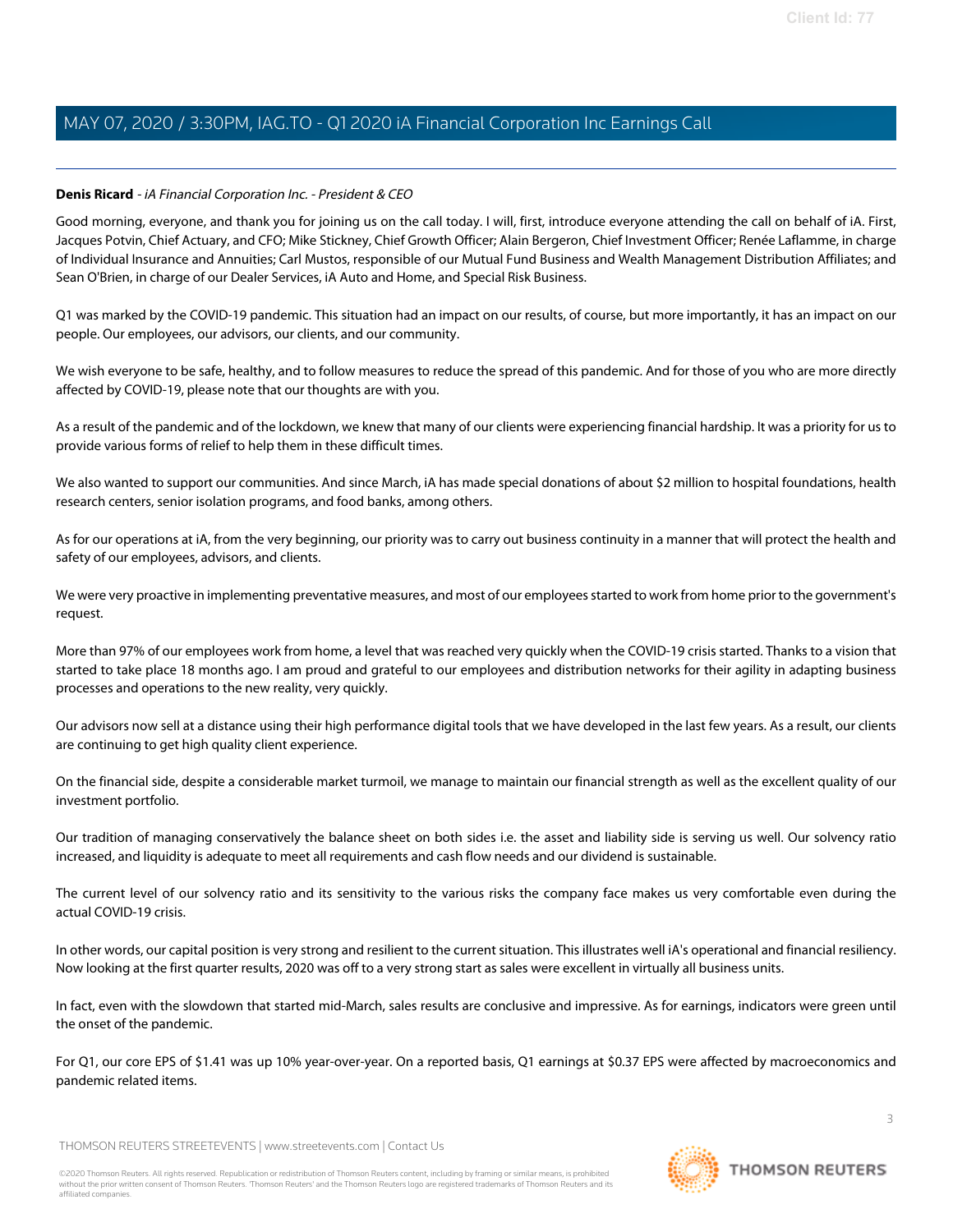### <span id="page-2-0"></span>**Denis Ricard** - iA Financial Corporation Inc. - President & CEO

Good morning, everyone, and thank you for joining us on the call today. I will, first, introduce everyone attending the call on behalf of iA. First, Jacques Potvin, Chief Actuary, and CFO; Mike Stickney, Chief Growth Officer; Alain Bergeron, Chief Investment Officer; Renée Laflamme, in charge of Individual Insurance and Annuities; Carl Mustos, responsible of our Mutual Fund Business and Wealth Management Distribution Affiliates; and Sean O'Brien, in charge of our Dealer Services, iA Auto and Home, and Special Risk Business.

Q1 was marked by the COVID-19 pandemic. This situation had an impact on our results, of course, but more importantly, it has an impact on our people. Our employees, our advisors, our clients, and our community.

We wish everyone to be safe, healthy, and to follow measures to reduce the spread of this pandemic. And for those of you who are more directly affected by COVID-19, please note that our thoughts are with you.

As a result of the pandemic and of the lockdown, we knew that many of our clients were experiencing financial hardship. It was a priority for us to provide various forms of relief to help them in these difficult times.

We also wanted to support our communities. And since March, iA has made special donations of about \$2 million to hospital foundations, health research centers, senior isolation programs, and food banks, among others.

As for our operations at iA, from the very beginning, our priority was to carry out business continuity in a manner that will protect the health and safety of our employees, advisors, and clients.

We were very proactive in implementing preventative measures, and most of our employees started to work from home prior to the government's request.

More than 97% of our employees work from home, a level that was reached very quickly when the COVID-19 crisis started. Thanks to a vision that started to take place 18 months ago. I am proud and grateful to our employees and distribution networks for their agility in adapting business processes and operations to the new reality, very quickly.

Our advisors now sell at a distance using their high performance digital tools that we have developed in the last few years. As a result, our clients are continuing to get high quality client experience.

On the financial side, despite a considerable market turmoil, we manage to maintain our financial strength as well as the excellent quality of our investment portfolio.

Our tradition of managing conservatively the balance sheet on both sides i.e. the asset and liability side is serving us well. Our solvency ratio increased, and liquidity is adequate to meet all requirements and cash flow needs and our dividend is sustainable.

The current level of our solvency ratio and its sensitivity to the various risks the company face makes us very comfortable even during the actual COVID-19 crisis.

In other words, our capital position is very strong and resilient to the current situation. This illustrates well iA's operational and financial resiliency. Now looking at the first quarter results, 2020 was off to a very strong start as sales were excellent in virtually all business units.

In fact, even with the slowdown that started mid-March, sales results are conclusive and impressive. As for earnings, indicators were green until the onset of the pandemic.

For Q1, our core EPS of \$1.41 was up 10% year-over-year. On a reported basis, Q1 earnings at \$0.37 EPS were affected by macroeconomics and pandemic related items.

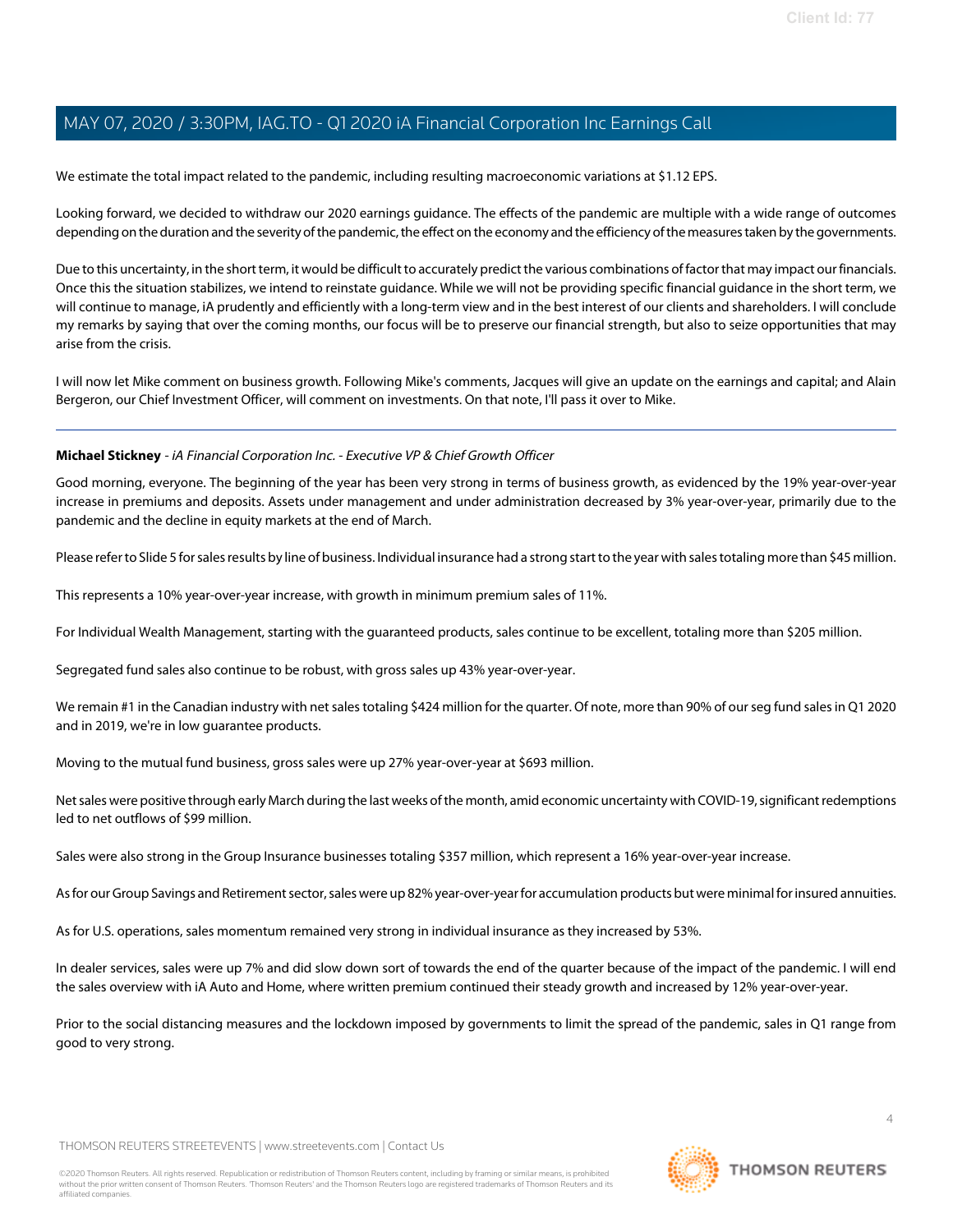We estimate the total impact related to the pandemic, including resulting macroeconomic variations at \$1.12 EPS.

Looking forward, we decided to withdraw our 2020 earnings guidance. The effects of the pandemic are multiple with a wide range of outcomes depending on the duration and the severity of the pandemic, the effect on the economy and the efficiency of the measures taken by the governments.

Due to this uncertainty, in the short term, it would be difficult to accurately predict the various combinations of factor that may impact our financials. Once this the situation stabilizes, we intend to reinstate guidance. While we will not be providing specific financial guidance in the short term, we will continue to manage, iA prudently and efficiently with a long-term view and in the best interest of our clients and shareholders. I will conclude my remarks by saying that over the coming months, our focus will be to preserve our financial strength, but also to seize opportunities that may arise from the crisis.

<span id="page-3-0"></span>I will now let Mike comment on business growth. Following Mike's comments, Jacques will give an update on the earnings and capital; and Alain Bergeron, our Chief Investment Officer, will comment on investments. On that note, I'll pass it over to Mike.

### **Michael Stickney** - iA Financial Corporation Inc. - Executive VP & Chief Growth Officer

Good morning, everyone. The beginning of the year has been very strong in terms of business growth, as evidenced by the 19% year-over-year increase in premiums and deposits. Assets under management and under administration decreased by 3% year-over-year, primarily due to the pandemic and the decline in equity markets at the end of March.

Please refer to Slide 5 for sales results by line of business. Individual insurance had a strong start to the year with sales totaling more than \$45 million.

This represents a 10% year-over-year increase, with growth in minimum premium sales of 11%.

For Individual Wealth Management, starting with the guaranteed products, sales continue to be excellent, totaling more than \$205 million.

Segregated fund sales also continue to be robust, with gross sales up 43% year-over-year.

We remain #1 in the Canadian industry with net sales totaling \$424 million for the quarter. Of note, more than 90% of our seg fund sales in Q1 2020 and in 2019, we're in low guarantee products.

Moving to the mutual fund business, gross sales were up 27% year-over-year at \$693 million.

Net sales were positive through early March during the last weeks of the month, amid economic uncertainty with COVID-19, significant redemptions led to net outflows of \$99 million.

Sales were also strong in the Group Insurance businesses totaling \$357 million, which represent a 16% year-over-year increase.

As for our Group Savings and Retirement sector, sales were up 82% year-over-year for accumulation products but were minimal for insured annuities.

As for U.S. operations, sales momentum remained very strong in individual insurance as they increased by 53%.

In dealer services, sales were up 7% and did slow down sort of towards the end of the quarter because of the impact of the pandemic. I will end the sales overview with iA Auto and Home, where written premium continued their steady growth and increased by 12% year-over-year.

Prior to the social distancing measures and the lockdown imposed by governments to limit the spread of the pandemic, sales in Q1 range from good to very strong.

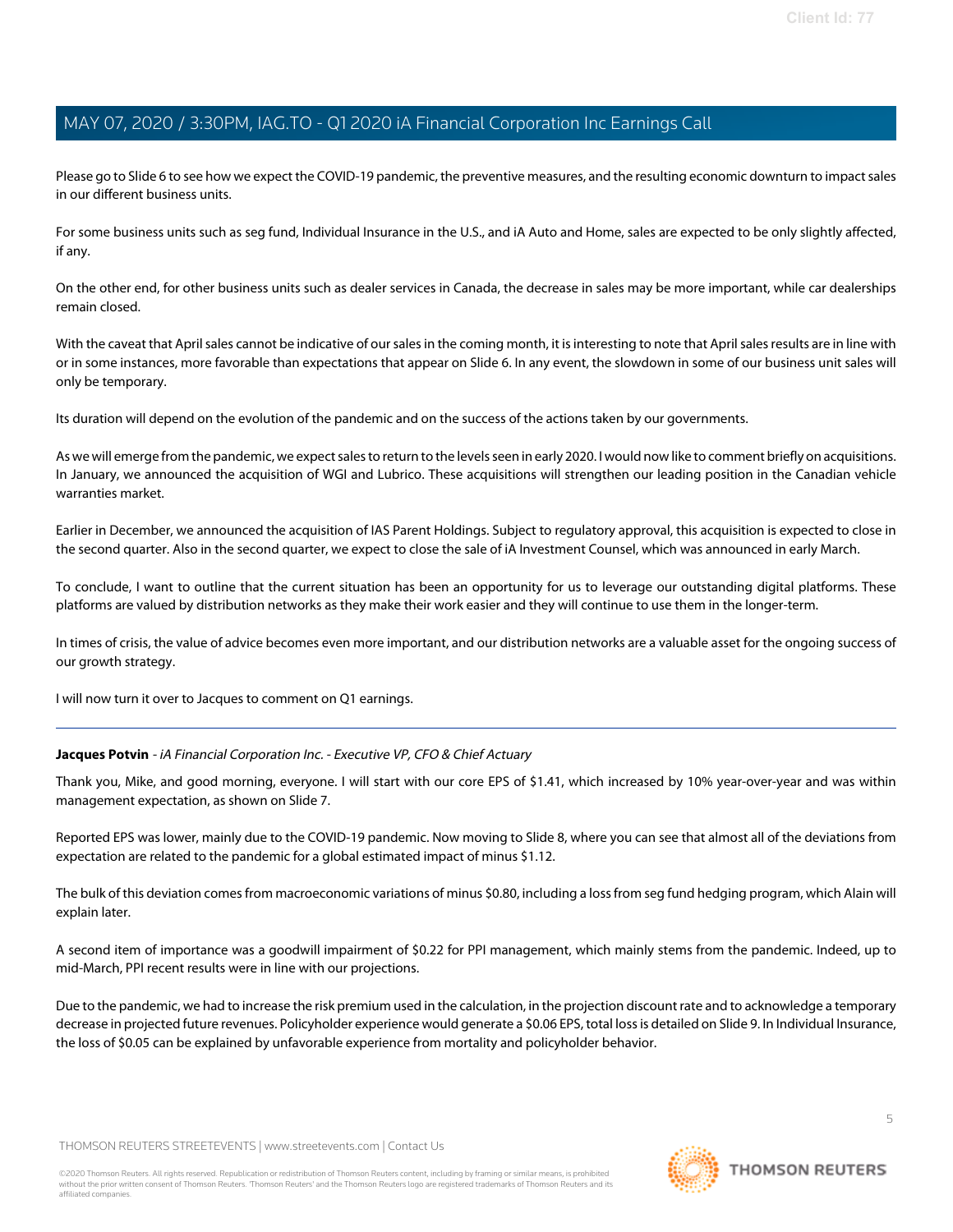Please go to Slide 6 to see how we expect the COVID-19 pandemic, the preventive measures, and the resulting economic downturn to impact sales in our different business units.

For some business units such as seg fund, Individual Insurance in the U.S., and iA Auto and Home, sales are expected to be only slightly affected, if any.

On the other end, for other business units such as dealer services in Canada, the decrease in sales may be more important, while car dealerships remain closed.

With the caveat that April sales cannot be indicative of our sales in the coming month, it is interesting to note that April sales results are in line with or in some instances, more favorable than expectations that appear on Slide 6. In any event, the slowdown in some of our business unit sales will only be temporary.

Its duration will depend on the evolution of the pandemic and on the success of the actions taken by our governments.

As we will emerge from the pandemic, we expect sales to return to the levels seen in early 2020. I would now like to comment briefly on acquisitions. In January, we announced the acquisition of WGI and Lubrico. These acquisitions will strengthen our leading position in the Canadian vehicle warranties market.

Earlier in December, we announced the acquisition of IAS Parent Holdings. Subject to regulatory approval, this acquisition is expected to close in the second quarter. Also in the second quarter, we expect to close the sale of iA Investment Counsel, which was announced in early March.

To conclude, I want to outline that the current situation has been an opportunity for us to leverage our outstanding digital platforms. These platforms are valued by distribution networks as they make their work easier and they will continue to use them in the longer-term.

In times of crisis, the value of advice becomes even more important, and our distribution networks are a valuable asset for the ongoing success of our growth strategy.

<span id="page-4-0"></span>I will now turn it over to Jacques to comment on Q1 earnings.

#### **Jacques Potvin** - iA Financial Corporation Inc. - Executive VP, CFO & Chief Actuary

Thank you, Mike, and good morning, everyone. I will start with our core EPS of \$1.41, which increased by 10% year-over-year and was within management expectation, as shown on Slide 7.

Reported EPS was lower, mainly due to the COVID-19 pandemic. Now moving to Slide 8, where you can see that almost all of the deviations from expectation are related to the pandemic for a global estimated impact of minus \$1.12.

The bulk of this deviation comes from macroeconomic variations of minus \$0.80, including a loss from seg fund hedging program, which Alain will explain later.

A second item of importance was a goodwill impairment of \$0.22 for PPI management, which mainly stems from the pandemic. Indeed, up to mid-March, PPI recent results were in line with our projections.

Due to the pandemic, we had to increase the risk premium used in the calculation, in the projection discount rate and to acknowledge a temporary decrease in projected future revenues. Policyholder experience would generate a \$0.06 EPS, total loss is detailed on Slide 9. In Individual Insurance, the loss of \$0.05 can be explained by unfavorable experience from mortality and policyholder behavior.

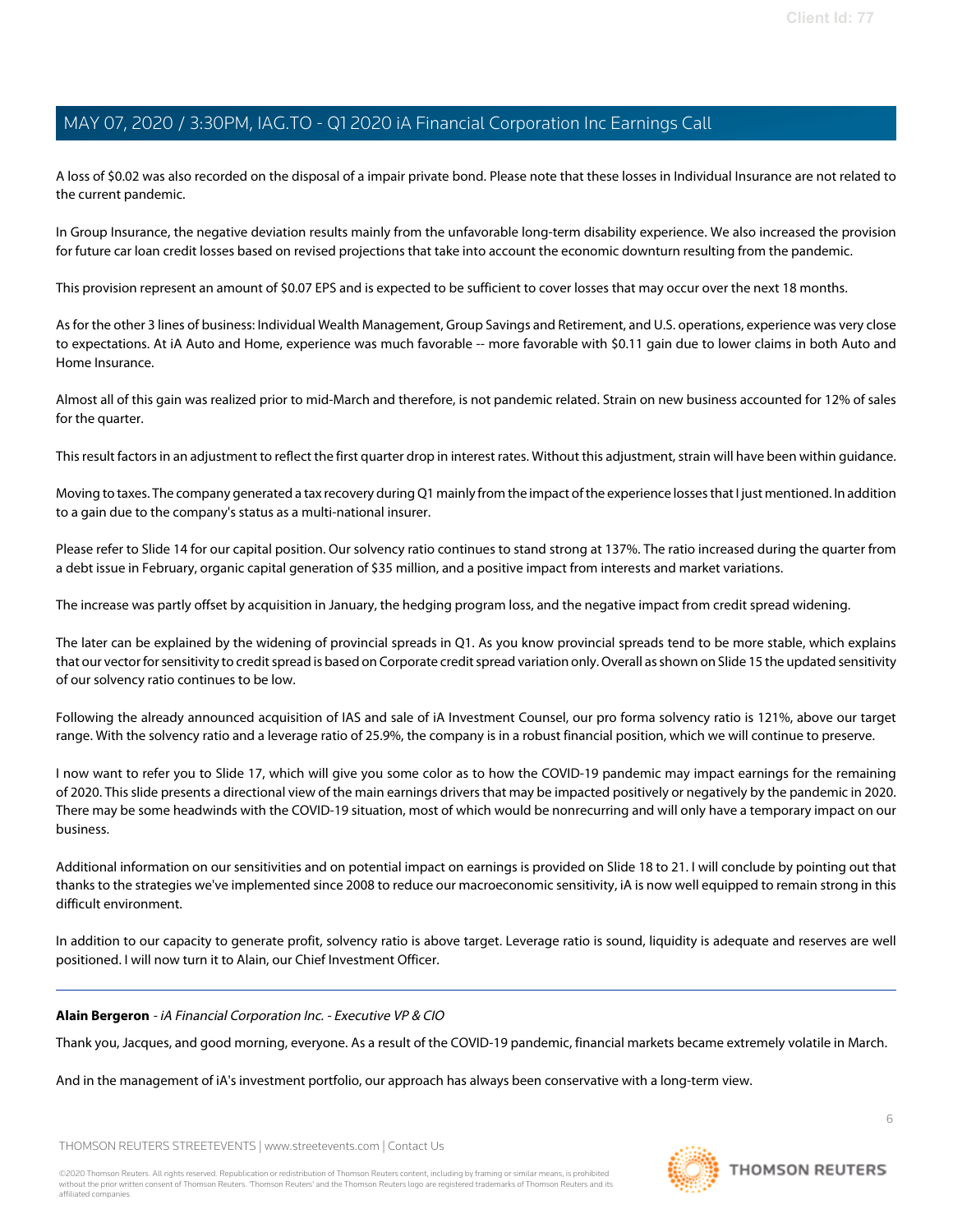A loss of \$0.02 was also recorded on the disposal of a impair private bond. Please note that these losses in Individual Insurance are not related to the current pandemic.

In Group Insurance, the negative deviation results mainly from the unfavorable long-term disability experience. We also increased the provision for future car loan credit losses based on revised projections that take into account the economic downturn resulting from the pandemic.

This provision represent an amount of \$0.07 EPS and is expected to be sufficient to cover losses that may occur over the next 18 months.

As for the other 3 lines of business: Individual Wealth Management, Group Savings and Retirement, and U.S. operations, experience was very close to expectations. At iA Auto and Home, experience was much favorable -- more favorable with \$0.11 gain due to lower claims in both Auto and Home Insurance.

Almost all of this gain was realized prior to mid-March and therefore, is not pandemic related. Strain on new business accounted for 12% of sales for the quarter.

This result factors in an adjustment to reflect the first quarter drop in interest rates. Without this adjustment, strain will have been within guidance.

Moving to taxes. The company generated a tax recovery during Q1 mainly from the impact of the experience losses that I just mentioned. In addition to a gain due to the company's status as a multi-national insurer.

Please refer to Slide 14 for our capital position. Our solvency ratio continues to stand strong at 137%. The ratio increased during the quarter from a debt issue in February, organic capital generation of \$35 million, and a positive impact from interests and market variations.

The increase was partly offset by acquisition in January, the hedging program loss, and the negative impact from credit spread widening.

The later can be explained by the widening of provincial spreads in Q1. As you know provincial spreads tend to be more stable, which explains that our vector for sensitivity to credit spread is based on Corporate credit spread variation only. Overall as shown on Slide 15 the updated sensitivity of our solvency ratio continues to be low.

Following the already announced acquisition of IAS and sale of iA Investment Counsel, our pro forma solvency ratio is 121%, above our target range. With the solvency ratio and a leverage ratio of 25.9%, the company is in a robust financial position, which we will continue to preserve.

I now want to refer you to Slide 17, which will give you some color as to how the COVID-19 pandemic may impact earnings for the remaining of 2020. This slide presents a directional view of the main earnings drivers that may be impacted positively or negatively by the pandemic in 2020. There may be some headwinds with the COVID-19 situation, most of which would be nonrecurring and will only have a temporary impact on our business.

Additional information on our sensitivities and on potential impact on earnings is provided on Slide 18 to 21. I will conclude by pointing out that thanks to the strategies we've implemented since 2008 to reduce our macroeconomic sensitivity, iA is now well equipped to remain strong in this difficult environment.

<span id="page-5-0"></span>In addition to our capacity to generate profit, solvency ratio is above target. Leverage ratio is sound, liquidity is adequate and reserves are well positioned. I will now turn it to Alain, our Chief Investment Officer.

#### **Alain Bergeron** - iA Financial Corporation Inc. - Executive VP & CIO

Thank you, Jacques, and good morning, everyone. As a result of the COVID-19 pandemic, financial markets became extremely volatile in March.

And in the management of iA's investment portfolio, our approach has always been conservative with a long-term view.

THOMSON REUTERS STREETEVENTS | [www.streetevents.com](http://www.streetevents.com) | [Contact Us](http://www010.streetevents.com/contact.asp)

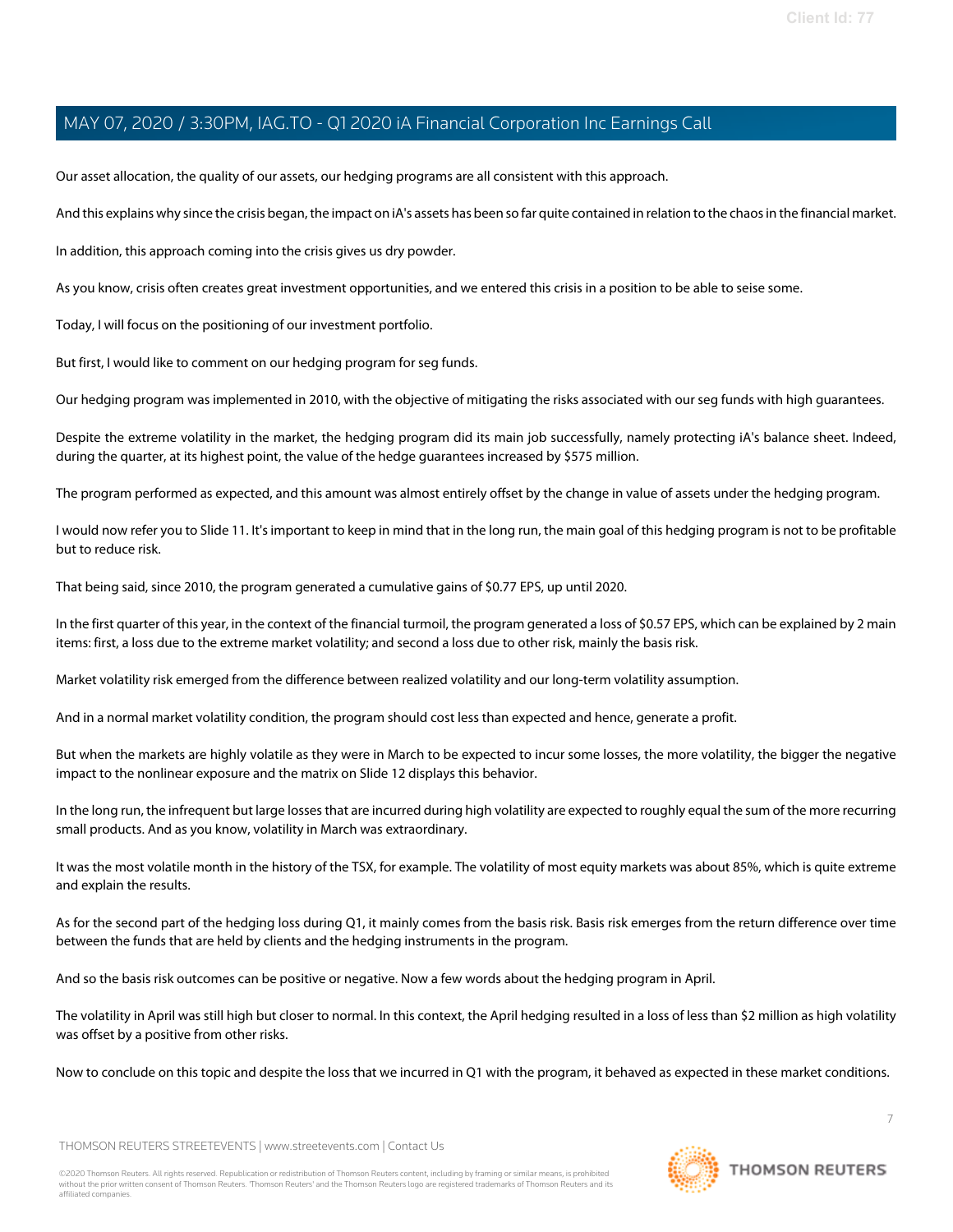Our asset allocation, the quality of our assets, our hedging programs are all consistent with this approach.

And this explains why since the crisis began, the impact on iA's assets has been so far quite contained in relation to the chaos in the financial market.

In addition, this approach coming into the crisis gives us dry powder.

As you know, crisis often creates great investment opportunities, and we entered this crisis in a position to be able to seise some.

Today, I will focus on the positioning of our investment portfolio.

But first, I would like to comment on our hedging program for seg funds.

Our hedging program was implemented in 2010, with the objective of mitigating the risks associated with our seg funds with high guarantees.

Despite the extreme volatility in the market, the hedging program did its main job successfully, namely protecting iA's balance sheet. Indeed, during the quarter, at its highest point, the value of the hedge guarantees increased by \$575 million.

The program performed as expected, and this amount was almost entirely offset by the change in value of assets under the hedging program.

I would now refer you to Slide 11. It's important to keep in mind that in the long run, the main goal of this hedging program is not to be profitable but to reduce risk.

That being said, since 2010, the program generated a cumulative gains of \$0.77 EPS, up until 2020.

In the first quarter of this year, in the context of the financial turmoil, the program generated a loss of \$0.57 EPS, which can be explained by 2 main items: first, a loss due to the extreme market volatility; and second a loss due to other risk, mainly the basis risk.

Market volatility risk emerged from the difference between realized volatility and our long-term volatility assumption.

And in a normal market volatility condition, the program should cost less than expected and hence, generate a profit.

But when the markets are highly volatile as they were in March to be expected to incur some losses, the more volatility, the bigger the negative impact to the nonlinear exposure and the matrix on Slide 12 displays this behavior.

In the long run, the infrequent but large losses that are incurred during high volatility are expected to roughly equal the sum of the more recurring small products. And as you know, volatility in March was extraordinary.

It was the most volatile month in the history of the TSX, for example. The volatility of most equity markets was about 85%, which is quite extreme and explain the results.

As for the second part of the hedging loss during Q1, it mainly comes from the basis risk. Basis risk emerges from the return difference over time between the funds that are held by clients and the hedging instruments in the program.

And so the basis risk outcomes can be positive or negative. Now a few words about the hedging program in April.

The volatility in April was still high but closer to normal. In this context, the April hedging resulted in a loss of less than \$2 million as high volatility was offset by a positive from other risks.

Now to conclude on this topic and despite the loss that we incurred in Q1 with the program, it behaved as expected in these market conditions.

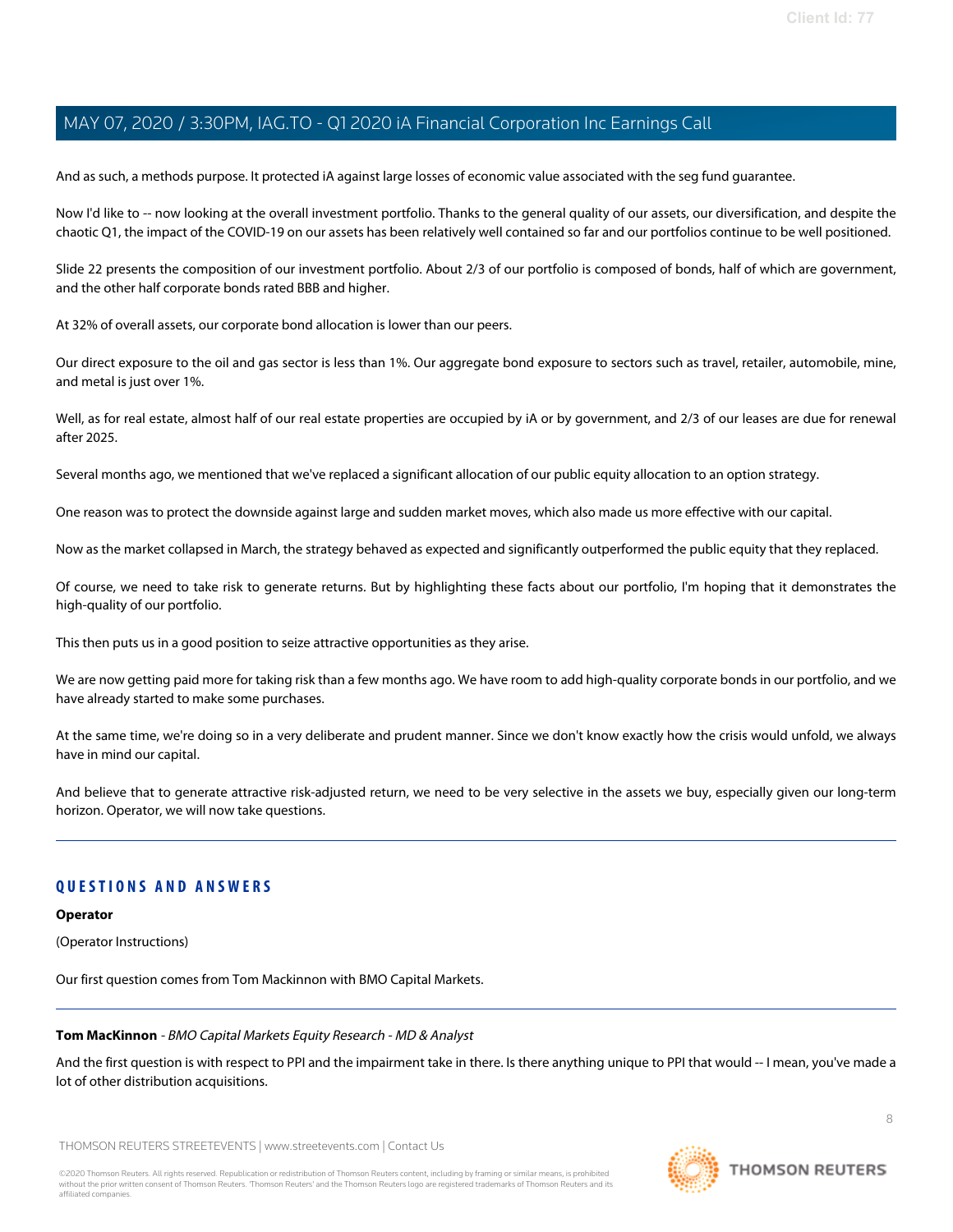And as such, a methods purpose. It protected iA against large losses of economic value associated with the seg fund guarantee.

Now I'd like to -- now looking at the overall investment portfolio. Thanks to the general quality of our assets, our diversification, and despite the chaotic Q1, the impact of the COVID-19 on our assets has been relatively well contained so far and our portfolios continue to be well positioned.

Slide 22 presents the composition of our investment portfolio. About 2/3 of our portfolio is composed of bonds, half of which are government, and the other half corporate bonds rated BBB and higher.

At 32% of overall assets, our corporate bond allocation is lower than our peers.

Our direct exposure to the oil and gas sector is less than 1%. Our aggregate bond exposure to sectors such as travel, retailer, automobile, mine, and metal is just over 1%.

Well, as for real estate, almost half of our real estate properties are occupied by iA or by government, and 2/3 of our leases are due for renewal after 2025.

Several months ago, we mentioned that we've replaced a significant allocation of our public equity allocation to an option strategy.

One reason was to protect the downside against large and sudden market moves, which also made us more effective with our capital.

Now as the market collapsed in March, the strategy behaved as expected and significantly outperformed the public equity that they replaced.

Of course, we need to take risk to generate returns. But by highlighting these facts about our portfolio, I'm hoping that it demonstrates the high-quality of our portfolio.

This then puts us in a good position to seize attractive opportunities as they arise.

We are now getting paid more for taking risk than a few months ago. We have room to add high-quality corporate bonds in our portfolio, and we have already started to make some purchases.

At the same time, we're doing so in a very deliberate and prudent manner. Since we don't know exactly how the crisis would unfold, we always have in mind our capital.

And believe that to generate attractive risk-adjusted return, we need to be very selective in the assets we buy, especially given our long-term horizon. Operator, we will now take questions.

# **QUESTIONS AND ANSWERS**

#### **Operator**

<span id="page-7-0"></span>(Operator Instructions)

Our first question comes from Tom Mackinnon with BMO Capital Markets.

#### **Tom MacKinnon** - BMO Capital Markets Equity Research - MD & Analyst

And the first question is with respect to PPI and the impairment take in there. Is there anything unique to PPI that would -- I mean, you've made a lot of other distribution acquisitions.

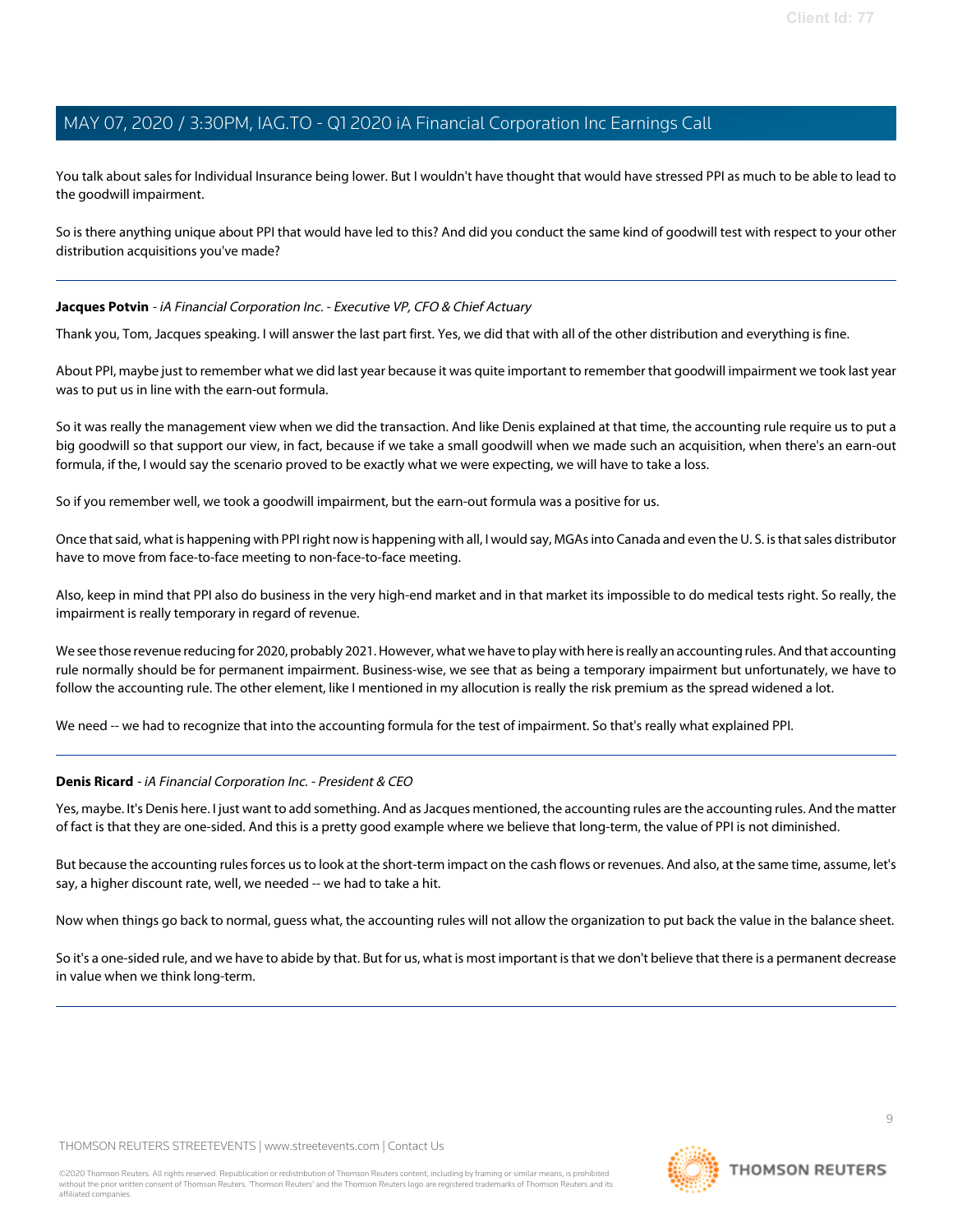You talk about sales for Individual Insurance being lower. But I wouldn't have thought that would have stressed PPI as much to be able to lead to the goodwill impairment.

So is there anything unique about PPI that would have led to this? And did you conduct the same kind of goodwill test with respect to your other distribution acquisitions you've made?

### **Jacques Potvin** - iA Financial Corporation Inc. - Executive VP, CFO & Chief Actuary

Thank you, Tom, Jacques speaking. I will answer the last part first. Yes, we did that with all of the other distribution and everything is fine.

About PPI, maybe just to remember what we did last year because it was quite important to remember that goodwill impairment we took last year was to put us in line with the earn-out formula.

So it was really the management view when we did the transaction. And like Denis explained at that time, the accounting rule require us to put a big goodwill so that support our view, in fact, because if we take a small goodwill when we made such an acquisition, when there's an earn-out formula, if the, I would say the scenario proved to be exactly what we were expecting, we will have to take a loss.

So if you remember well, we took a goodwill impairment, but the earn-out formula was a positive for us.

Once that said, what is happening with PPI right now is happening with all, I would say, MGAs into Canada and even the U. S. is that sales distributor have to move from face-to-face meeting to non-face-to-face meeting.

Also, keep in mind that PPI also do business in the very high-end market and in that market its impossible to do medical tests right. So really, the impairment is really temporary in regard of revenue.

We see those revenue reducing for 2020, probably 2021. However, what we have to play with here is really an accounting rules. And that accounting rule normally should be for permanent impairment. Business-wise, we see that as being a temporary impairment but unfortunately, we have to follow the accounting rule. The other element, like I mentioned in my allocution is really the risk premium as the spread widened a lot.

We need -- we had to recognize that into the accounting formula for the test of impairment. So that's really what explained PPI.

# **Denis Ricard** - iA Financial Corporation Inc. - President & CEO

Yes, maybe. It's Denis here. I just want to add something. And as Jacques mentioned, the accounting rules are the accounting rules. And the matter of fact is that they are one-sided. And this is a pretty good example where we believe that long-term, the value of PPI is not diminished.

But because the accounting rules forces us to look at the short-term impact on the cash flows or revenues. And also, at the same time, assume, let's say, a higher discount rate, well, we needed -- we had to take a hit.

Now when things go back to normal, guess what, the accounting rules will not allow the organization to put back the value in the balance sheet.

So it's a one-sided rule, and we have to abide by that. But for us, what is most important is that we don't believe that there is a permanent decrease in value when we think long-term.

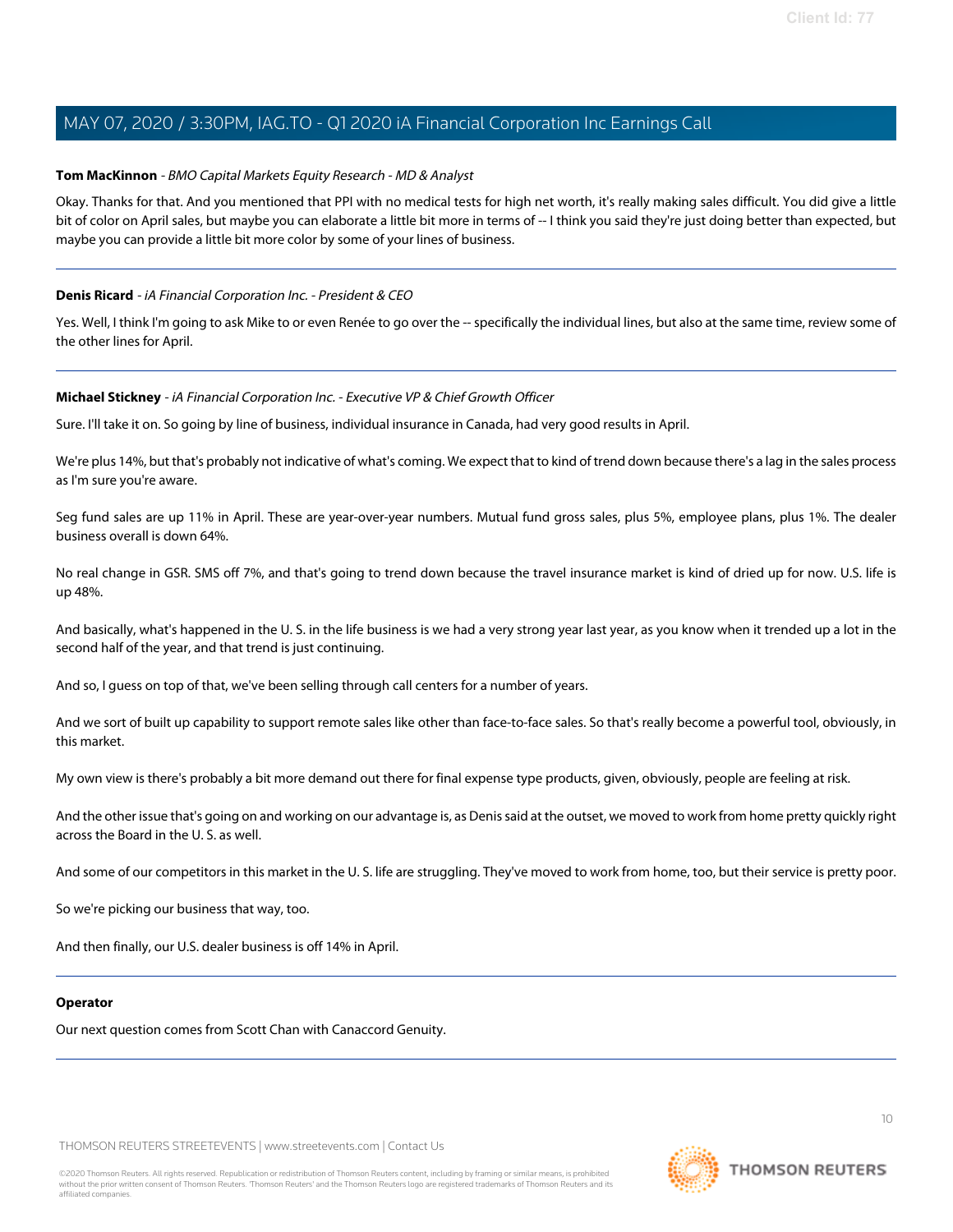### **Tom MacKinnon** - BMO Capital Markets Equity Research - MD & Analyst

Okay. Thanks for that. And you mentioned that PPI with no medical tests for high net worth, it's really making sales difficult. You did give a little bit of color on April sales, but maybe you can elaborate a little bit more in terms of -- I think you said they're just doing better than expected, but maybe you can provide a little bit more color by some of your lines of business.

### **Denis Ricard** - iA Financial Corporation Inc. - President & CEO

Yes. Well, I think I'm going to ask Mike to or even Renée to go over the -- specifically the individual lines, but also at the same time, review some of the other lines for April.

#### **Michael Stickney** - iA Financial Corporation Inc. - Executive VP & Chief Growth Officer

Sure. I'll take it on. So going by line of business, individual insurance in Canada, had very good results in April.

We're plus 14%, but that's probably not indicative of what's coming. We expect that to kind of trend down because there's a lag in the sales process as I'm sure you're aware.

Seg fund sales are up 11% in April. These are year-over-year numbers. Mutual fund gross sales, plus 5%, employee plans, plus 1%. The dealer business overall is down 64%.

No real change in GSR. SMS off 7%, and that's going to trend down because the travel insurance market is kind of dried up for now. U.S. life is up 48%.

And basically, what's happened in the U. S. in the life business is we had a very strong year last year, as you know when it trended up a lot in the second half of the year, and that trend is just continuing.

And so, I guess on top of that, we've been selling through call centers for a number of years.

And we sort of built up capability to support remote sales like other than face-to-face sales. So that's really become a powerful tool, obviously, in this market.

My own view is there's probably a bit more demand out there for final expense type products, given, obviously, people are feeling at risk.

And the other issue that's going on and working on our advantage is, as Denis said at the outset, we moved to work from home pretty quickly right across the Board in the U. S. as well.

And some of our competitors in this market in the U. S. life are struggling. They've moved to work from home, too, but their service is pretty poor.

So we're picking our business that way, too.

And then finally, our U.S. dealer business is off 14% in April.

#### **Operator**

Our next question comes from Scott Chan with Canaccord Genuity.

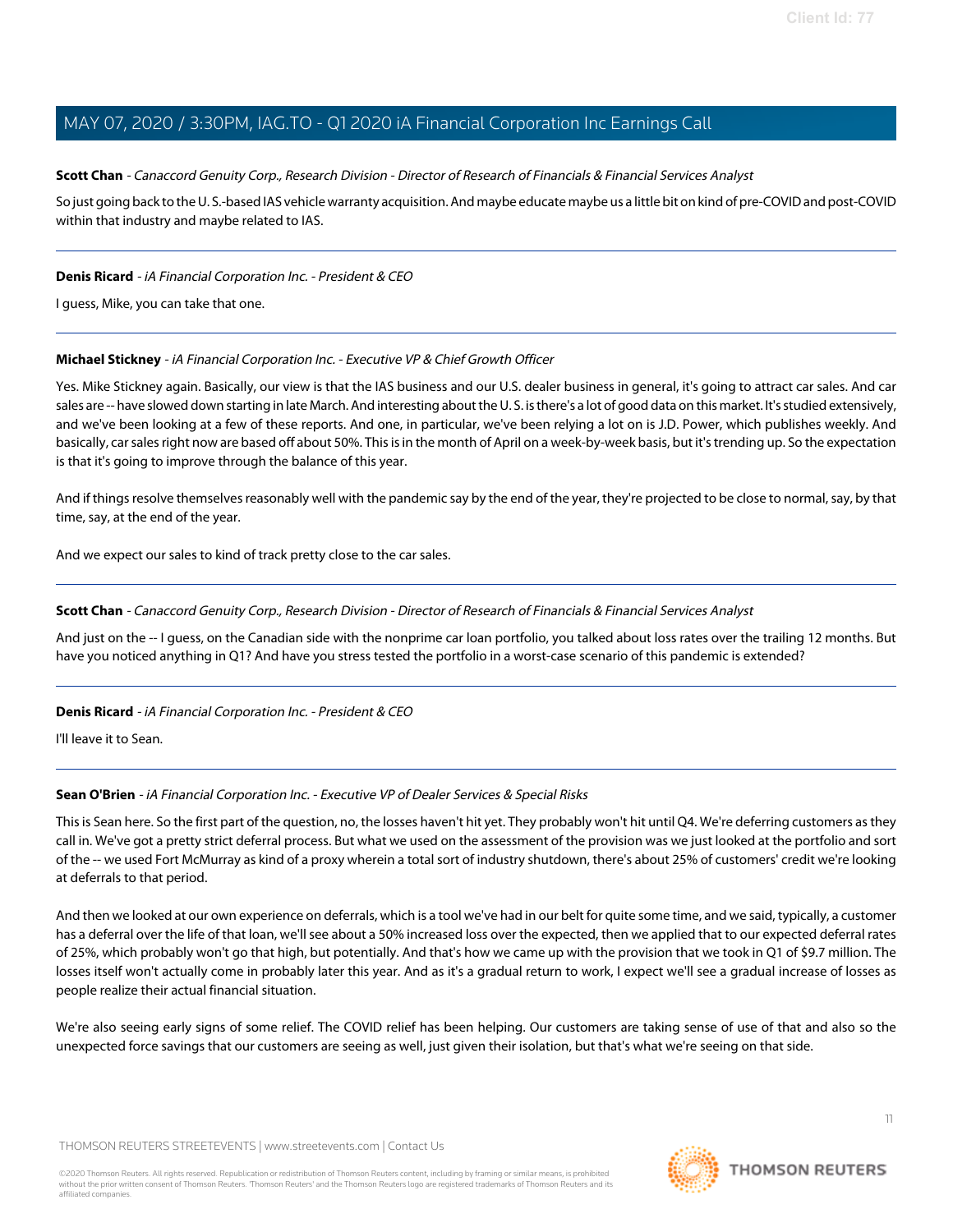### <span id="page-10-1"></span>Scott Chan - Canaccord Genuity Corp., Research Division - Director of Research of Financials & Financial Services Analyst

So just going back to the U. S.-based IAS vehicle warranty acquisition. And maybe educate maybe us a little bit on kind of pre-COVID and post-COVID within that industry and maybe related to IAS.

### **Denis Ricard** - iA Financial Corporation Inc. - President & CEO

I guess, Mike, you can take that one.

### **Michael Stickney** - iA Financial Corporation Inc. - Executive VP & Chief Growth Officer

Yes. Mike Stickney again. Basically, our view is that the IAS business and our U.S. dealer business in general, it's going to attract car sales. And car sales are -- have slowed down starting in late March. And interesting about the U.S. is there's a lot of good data on this market. It's studied extensively, and we've been looking at a few of these reports. And one, in particular, we've been relying a lot on is J.D. Power, which publishes weekly. And basically, car sales right now are based off about 50%. This is in the month of April on a week-by-week basis, but it's trending up. So the expectation is that it's going to improve through the balance of this year.

And if things resolve themselves reasonably well with the pandemic say by the end of the year, they're projected to be close to normal, say, by that time, say, at the end of the year.

And we expect our sales to kind of track pretty close to the car sales.

#### **Scott Chan** - Canaccord Genuity Corp., Research Division - Director of Research of Financials & Financial Services Analyst

And just on the -- I guess, on the Canadian side with the nonprime car loan portfolio, you talked about loss rates over the trailing 12 months. But have you noticed anything in Q1? And have you stress tested the portfolio in a worst-case scenario of this pandemic is extended?

#### <span id="page-10-0"></span>**Denis Ricard** - iA Financial Corporation Inc. - President & CEO

I'll leave it to Sean.

#### **Sean O'Brien** - iA Financial Corporation Inc. - Executive VP of Dealer Services & Special Risks

This is Sean here. So the first part of the question, no, the losses haven't hit yet. They probably won't hit until Q4. We're deferring customers as they call in. We've got a pretty strict deferral process. But what we used on the assessment of the provision was we just looked at the portfolio and sort of the -- we used Fort McMurray as kind of a proxy wherein a total sort of industry shutdown, there's about 25% of customers' credit we're looking at deferrals to that period.

And then we looked at our own experience on deferrals, which is a tool we've had in our belt for quite some time, and we said, typically, a customer has a deferral over the life of that loan, we'll see about a 50% increased loss over the expected, then we applied that to our expected deferral rates of 25%, which probably won't go that high, but potentially. And that's how we came up with the provision that we took in Q1 of \$9.7 million. The losses itself won't actually come in probably later this year. And as it's a gradual return to work, I expect we'll see a gradual increase of losses as people realize their actual financial situation.

We're also seeing early signs of some relief. The COVID relief has been helping. Our customers are taking sense of use of that and also so the unexpected force savings that our customers are seeing as well, just given their isolation, but that's what we're seeing on that side.

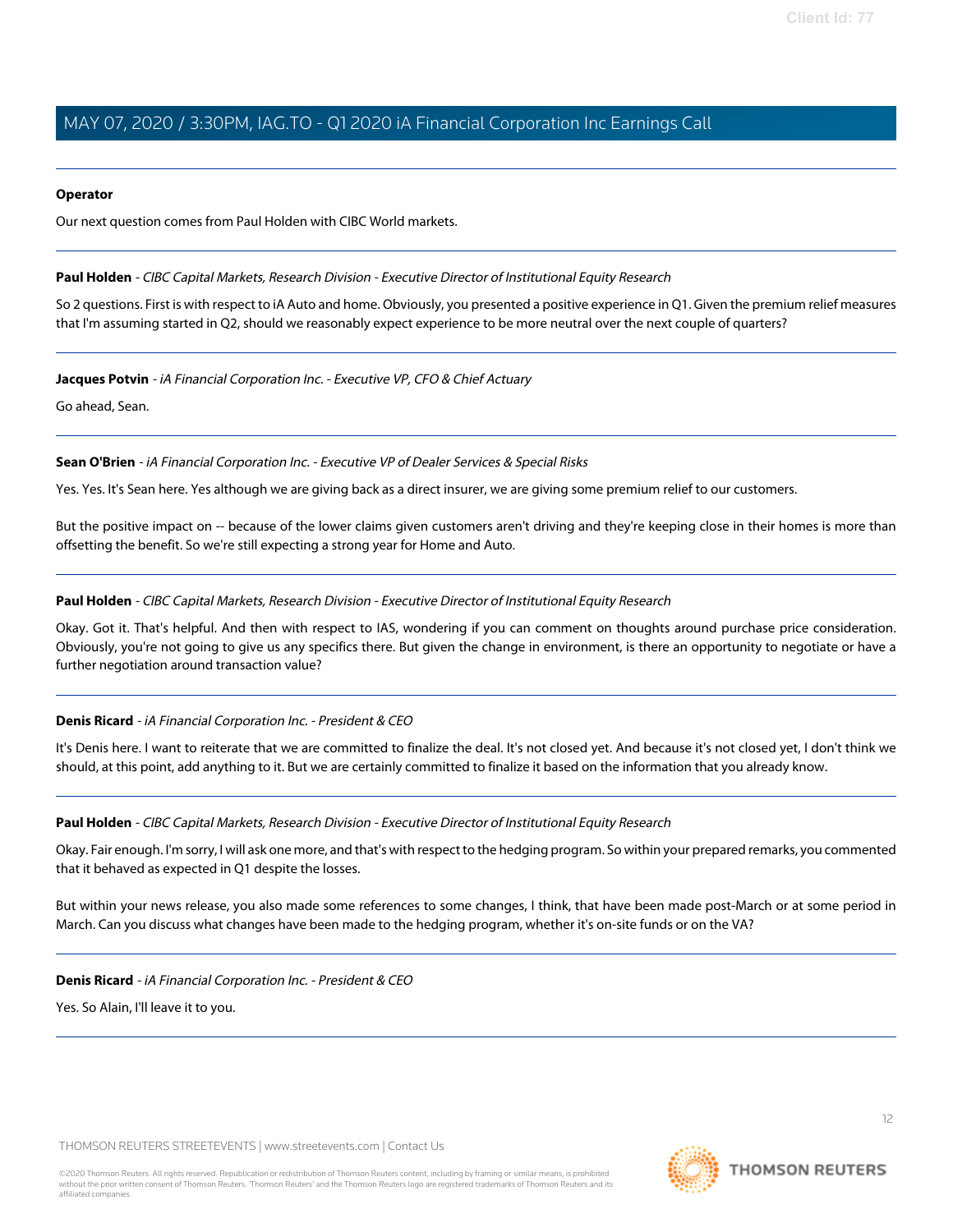#### **Operator**

Our next question comes from Paul Holden with CIBC World markets.

### <span id="page-11-0"></span>**Paul Holden** - CIBC Capital Markets, Research Division - Executive Director of Institutional Equity Research

So 2 questions. First is with respect to iA Auto and home. Obviously, you presented a positive experience in Q1. Given the premium relief measures that I'm assuming started in Q2, should we reasonably expect experience to be more neutral over the next couple of quarters?

### **Jacques Potvin** - iA Financial Corporation Inc. - Executive VP, CFO & Chief Actuary

Go ahead, Sean.

**Sean O'Brien** - iA Financial Corporation Inc. - Executive VP of Dealer Services & Special Risks

Yes. Yes. It's Sean here. Yes although we are giving back as a direct insurer, we are giving some premium relief to our customers.

But the positive impact on -- because of the lower claims given customers aren't driving and they're keeping close in their homes is more than offsetting the benefit. So we're still expecting a strong year for Home and Auto.

### **Paul Holden** - CIBC Capital Markets, Research Division - Executive Director of Institutional Equity Research

Okay. Got it. That's helpful. And then with respect to IAS, wondering if you can comment on thoughts around purchase price consideration. Obviously, you're not going to give us any specifics there. But given the change in environment, is there an opportunity to negotiate or have a further negotiation around transaction value?

# **Denis Ricard** - iA Financial Corporation Inc. - President & CEO

It's Denis here. I want to reiterate that we are committed to finalize the deal. It's not closed yet. And because it's not closed yet, I don't think we should, at this point, add anything to it. But we are certainly committed to finalize it based on the information that you already know.

#### **Paul Holden** - CIBC Capital Markets, Research Division - Executive Director of Institutional Equity Research

Okay. Fair enough. I'm sorry, I will ask one more, and that's with respect to the hedging program. So within your prepared remarks, you commented that it behaved as expected in Q1 despite the losses.

But within your news release, you also made some references to some changes, I think, that have been made post-March or at some period in March. Can you discuss what changes have been made to the hedging program, whether it's on-site funds or on the VA?

**Denis Ricard** - iA Financial Corporation Inc. - President & CEO

Yes. So Alain, I'll leave it to you.

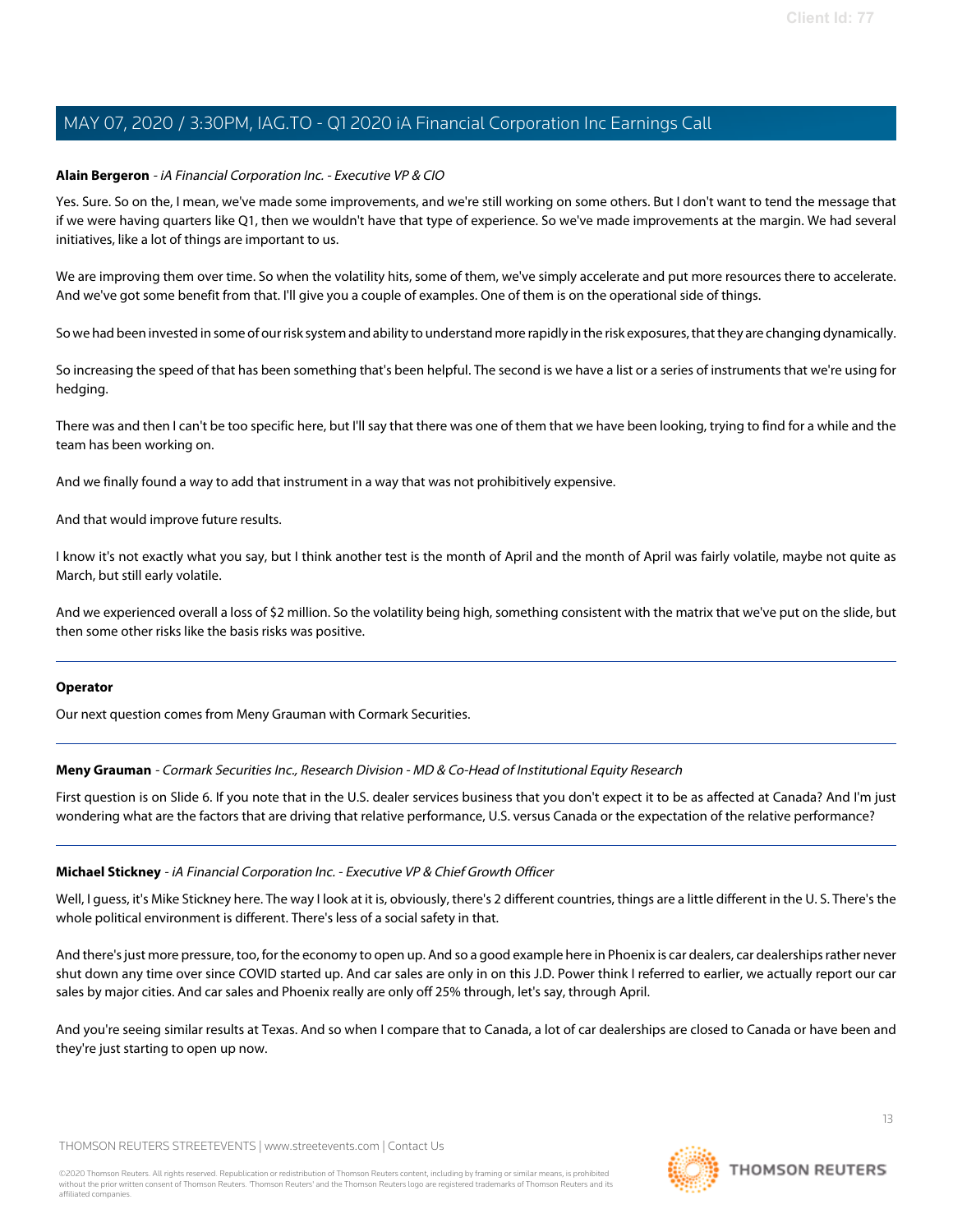### **Alain Bergeron** - iA Financial Corporation Inc. - Executive VP & CIO

Yes. Sure. So on the, I mean, we've made some improvements, and we're still working on some others. But I don't want to tend the message that if we were having quarters like Q1, then we wouldn't have that type of experience. So we've made improvements at the margin. We had several initiatives, like a lot of things are important to us.

We are improving them over time. So when the volatility hits, some of them, we've simply accelerate and put more resources there to accelerate. And we've got some benefit from that. I'll give you a couple of examples. One of them is on the operational side of things.

So we had been invested in some of our risk system and ability to understand more rapidly in the risk exposures, that they are changing dynamically.

So increasing the speed of that has been something that's been helpful. The second is we have a list or a series of instruments that we're using for hedging.

There was and then I can't be too specific here, but I'll say that there was one of them that we have been looking, trying to find for a while and the team has been working on.

And we finally found a way to add that instrument in a way that was not prohibitively expensive.

And that would improve future results.

I know it's not exactly what you say, but I think another test is the month of April and the month of April was fairly volatile, maybe not quite as March, but still early volatile.

And we experienced overall a loss of \$2 million. So the volatility being high, something consistent with the matrix that we've put on the slide, but then some other risks like the basis risks was positive.

#### <span id="page-12-0"></span>**Operator**

Our next question comes from Meny Grauman with Cormark Securities.

**Meny Grauman** - Cormark Securities Inc., Research Division - MD & Co-Head of Institutional Equity Research

First question is on Slide 6. If you note that in the U.S. dealer services business that you don't expect it to be as affected at Canada? And I'm just wondering what are the factors that are driving that relative performance, U.S. versus Canada or the expectation of the relative performance?

#### **Michael Stickney** - iA Financial Corporation Inc. - Executive VP & Chief Growth Officer

Well, I guess, it's Mike Stickney here. The way I look at it is, obviously, there's 2 different countries, things are a little different in the U. S. There's the whole political environment is different. There's less of a social safety in that.

And there's just more pressure, too, for the economy to open up. And so a good example here in Phoenix is car dealers, car dealerships rather never shut down any time over since COVID started up. And car sales are only in on this J.D. Power think I referred to earlier, we actually report our car sales by major cities. And car sales and Phoenix really are only off 25% through, let's say, through April.

And you're seeing similar results at Texas. And so when I compare that to Canada, a lot of car dealerships are closed to Canada or have been and they're just starting to open up now.

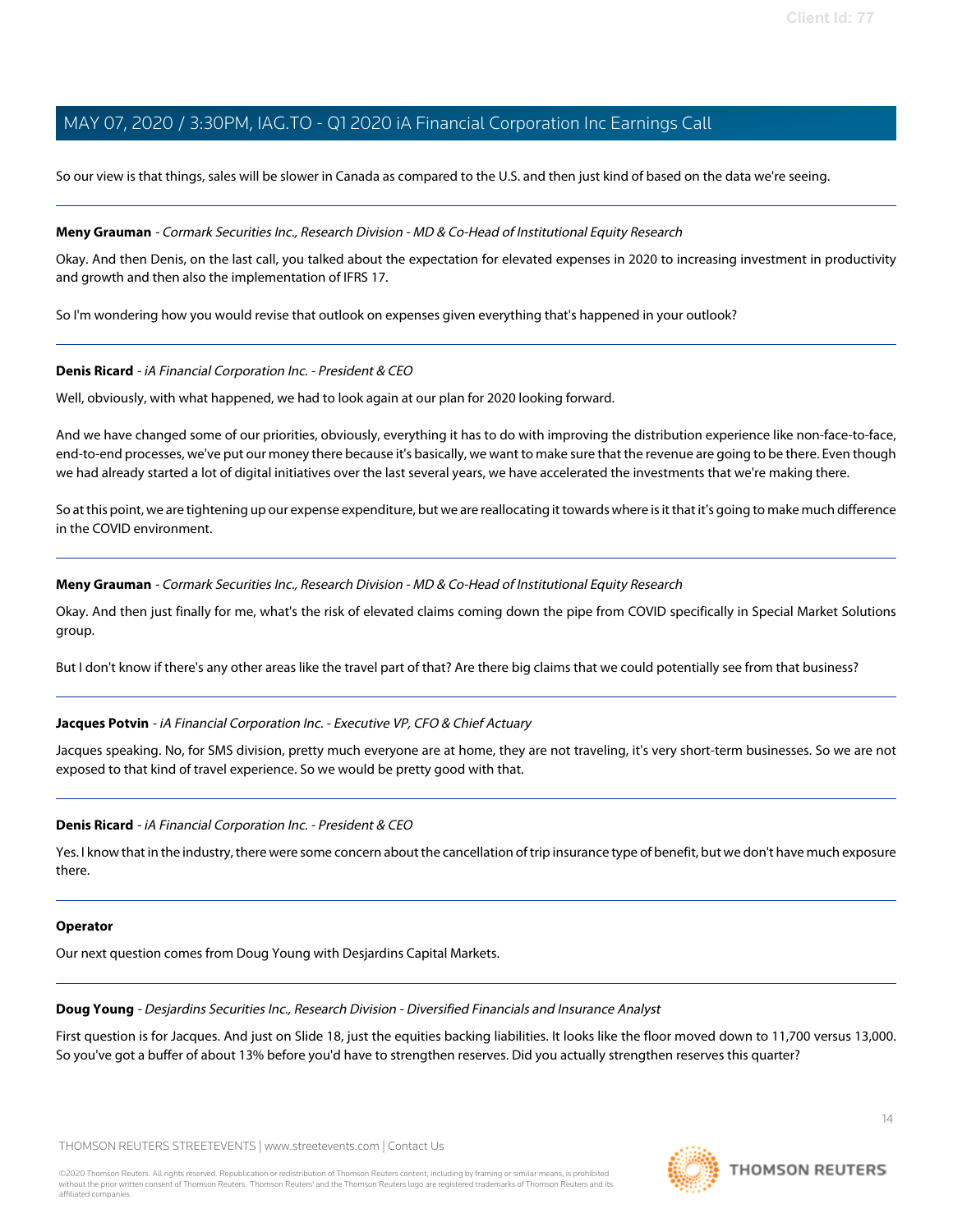So our view is that things, sales will be slower in Canada as compared to the U.S. and then just kind of based on the data we're seeing.

#### **Meny Grauman** - Cormark Securities Inc., Research Division - MD & Co-Head of Institutional Equity Research

Okay. And then Denis, on the last call, you talked about the expectation for elevated expenses in 2020 to increasing investment in productivity and growth and then also the implementation of IFRS 17.

So I'm wondering how you would revise that outlook on expenses given everything that's happened in your outlook?

### **Denis Ricard** - iA Financial Corporation Inc. - President & CEO

Well, obviously, with what happened, we had to look again at our plan for 2020 looking forward.

And we have changed some of our priorities, obviously, everything it has to do with improving the distribution experience like non-face-to-face, end-to-end processes, we've put our money there because it's basically, we want to make sure that the revenue are going to be there. Even though we had already started a lot of digital initiatives over the last several years, we have accelerated the investments that we're making there.

So at this point, we are tightening up our expense expenditure, but we are reallocating it towards where is it that it's going to make much difference in the COVID environment.

#### **Meny Grauman** - Cormark Securities Inc., Research Division - MD & Co-Head of Institutional Equity Research

Okay. And then just finally for me, what's the risk of elevated claims coming down the pipe from COVID specifically in Special Market Solutions group.

But I don't know if there's any other areas like the travel part of that? Are there big claims that we could potentially see from that business?

# **Jacques Potvin** - iA Financial Corporation Inc. - Executive VP, CFO & Chief Actuary

Jacques speaking. No, for SMS division, pretty much everyone are at home, they are not traveling, it's very short-term businesses. So we are not exposed to that kind of travel experience. So we would be pretty good with that.

#### **Denis Ricard** - iA Financial Corporation Inc. - President & CEO

Yes. I know that in the industry, there were some concern about the cancellation of trip insurance type of benefit, but we don't have much exposure there.

#### <span id="page-13-0"></span>**Operator**

Our next question comes from Doug Young with Desjardins Capital Markets.

#### **Doug Young** - Desjardins Securities Inc., Research Division - Diversified Financials and Insurance Analyst

First question is for Jacques. And just on Slide 18, just the equities backing liabilities. It looks like the floor moved down to 11,700 versus 13,000. So you've got a buffer of about 13% before you'd have to strengthen reserves. Did you actually strengthen reserves this quarter?

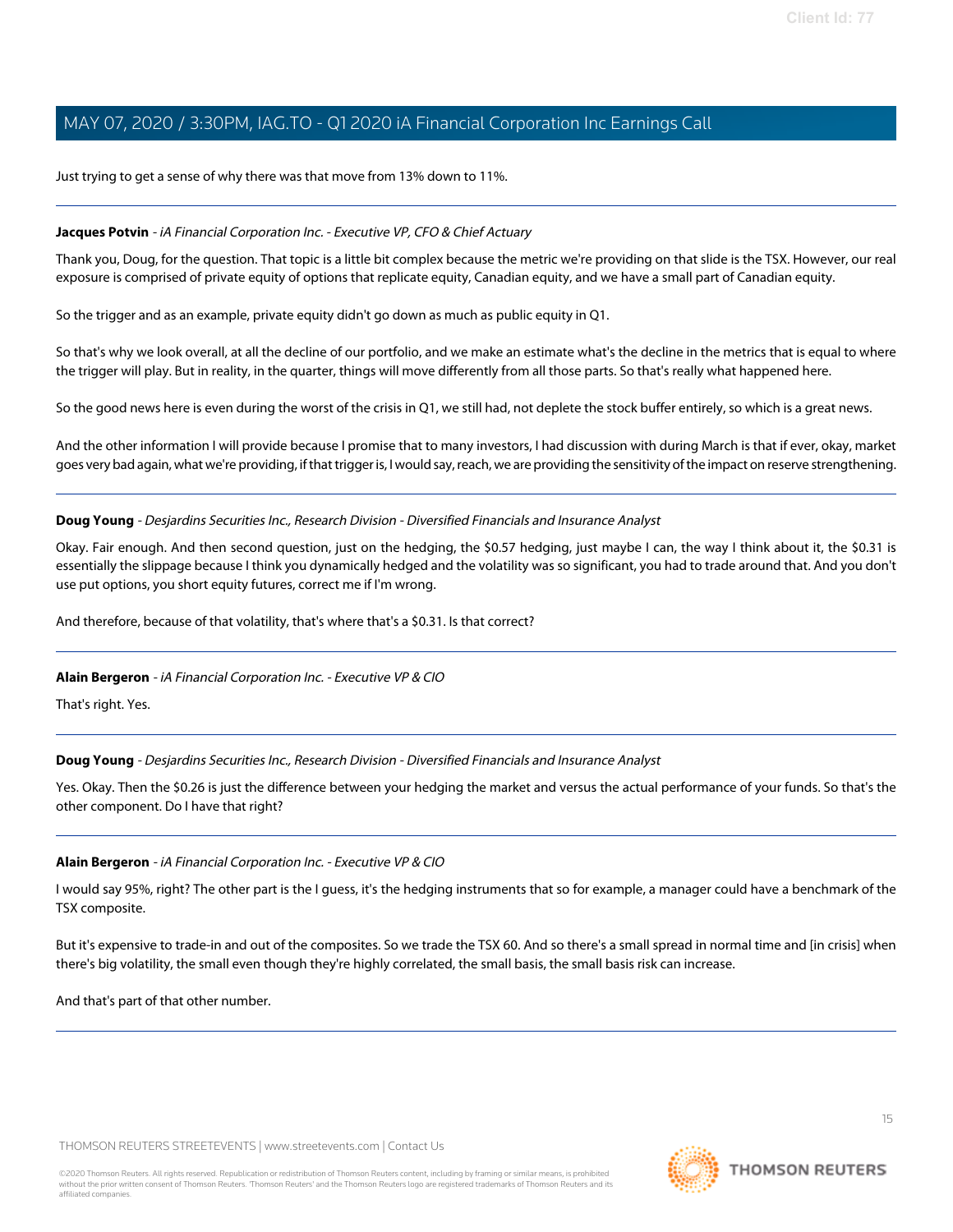Just trying to get a sense of why there was that move from 13% down to 11%.

#### **Jacques Potvin** - iA Financial Corporation Inc. - Executive VP, CFO & Chief Actuary

Thank you, Doug, for the question. That topic is a little bit complex because the metric we're providing on that slide is the TSX. However, our real exposure is comprised of private equity of options that replicate equity, Canadian equity, and we have a small part of Canadian equity.

So the trigger and as an example, private equity didn't go down as much as public equity in Q1.

So that's why we look overall, at all the decline of our portfolio, and we make an estimate what's the decline in the metrics that is equal to where the trigger will play. But in reality, in the quarter, things will move differently from all those parts. So that's really what happened here.

So the good news here is even during the worst of the crisis in Q1, we still had, not deplete the stock buffer entirely, so which is a great news.

And the other information I will provide because I promise that to many investors, I had discussion with during March is that if ever, okay, market goes very bad again, what we're providing, if that trigger is, I would say, reach, we are providing the sensitivity of the impact on reserve strengthening.

### **Doug Young** - Desjardins Securities Inc., Research Division - Diversified Financials and Insurance Analyst

Okay. Fair enough. And then second question, just on the hedging, the \$0.57 hedging, just maybe I can, the way I think about it, the \$0.31 is essentially the slippage because I think you dynamically hedged and the volatility was so significant, you had to trade around that. And you don't use put options, you short equity futures, correct me if I'm wrong.

And therefore, because of that volatility, that's where that's a \$0.31. Is that correct?

#### **Alain Bergeron** - iA Financial Corporation Inc. - Executive VP & CIO

That's right. Yes.

# **Doug Young** - Desjardins Securities Inc., Research Division - Diversified Financials and Insurance Analyst

Yes. Okay. Then the \$0.26 is just the difference between your hedging the market and versus the actual performance of your funds. So that's the other component. Do I have that right?

# **Alain Bergeron** - iA Financial Corporation Inc. - Executive VP & CIO

I would say 95%, right? The other part is the I guess, it's the hedging instruments that so for example, a manager could have a benchmark of the TSX composite.

But it's expensive to trade-in and out of the composites. So we trade the TSX 60. And so there's a small spread in normal time and [in crisis] when there's big volatility, the small even though they're highly correlated, the small basis, the small basis risk can increase.

And that's part of that other number.

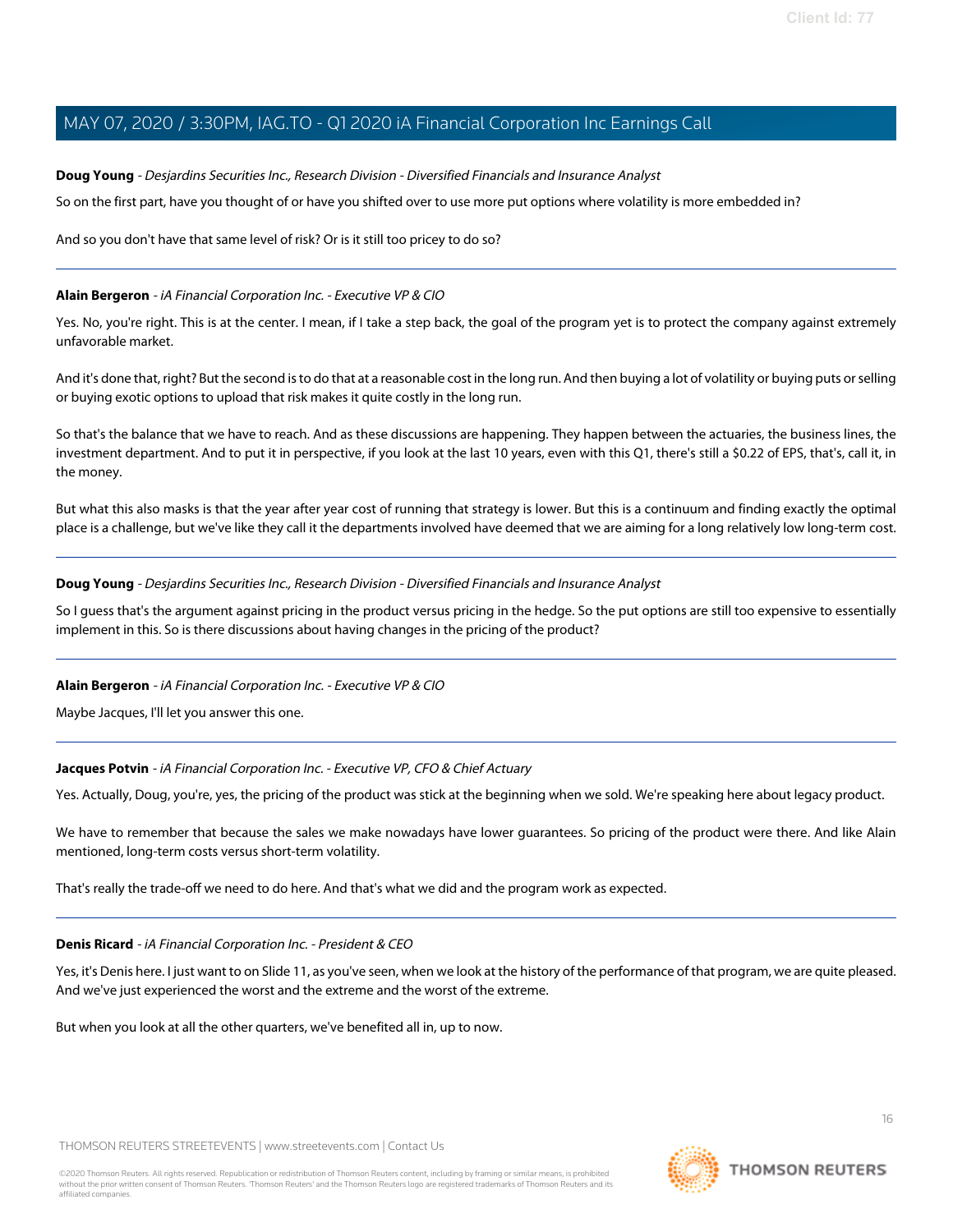#### **Doug Young** - Desjardins Securities Inc., Research Division - Diversified Financials and Insurance Analyst

So on the first part, have you thought of or have you shifted over to use more put options where volatility is more embedded in?

And so you don't have that same level of risk? Or is it still too pricey to do so?

#### **Alain Bergeron** - iA Financial Corporation Inc. - Executive VP & CIO

Yes. No, you're right. This is at the center. I mean, if I take a step back, the goal of the program yet is to protect the company against extremely unfavorable market.

And it's done that, right? But the second is to do that at a reasonable cost in the long run. And then buying a lot of volatility or buying puts or selling or buying exotic options to upload that risk makes it quite costly in the long run.

So that's the balance that we have to reach. And as these discussions are happening. They happen between the actuaries, the business lines, the investment department. And to put it in perspective, if you look at the last 10 years, even with this Q1, there's still a \$0.22 of EPS, that's, call it, in the money.

But what this also masks is that the year after year cost of running that strategy is lower. But this is a continuum and finding exactly the optimal place is a challenge, but we've like they call it the departments involved have deemed that we are aiming for a long relatively low long-term cost.

#### **Doug Young** - Desjardins Securities Inc., Research Division - Diversified Financials and Insurance Analyst

So I guess that's the argument against pricing in the product versus pricing in the hedge. So the put options are still too expensive to essentially implement in this. So is there discussions about having changes in the pricing of the product?

#### **Alain Bergeron** - iA Financial Corporation Inc. - Executive VP & CIO

Maybe Jacques, I'll let you answer this one.

#### **Jacques Potvin** - iA Financial Corporation Inc. - Executive VP, CFO & Chief Actuary

Yes. Actually, Doug, you're, yes, the pricing of the product was stick at the beginning when we sold. We're speaking here about legacy product.

We have to remember that because the sales we make nowadays have lower guarantees. So pricing of the product were there. And like Alain mentioned, long-term costs versus short-term volatility.

That's really the trade-off we need to do here. And that's what we did and the program work as expected.

#### **Denis Ricard** - iA Financial Corporation Inc. - President & CEO

Yes, it's Denis here. I just want to on Slide 11, as you've seen, when we look at the history of the performance of that program, we are quite pleased. And we've just experienced the worst and the extreme and the worst of the extreme.

But when you look at all the other quarters, we've benefited all in, up to now.

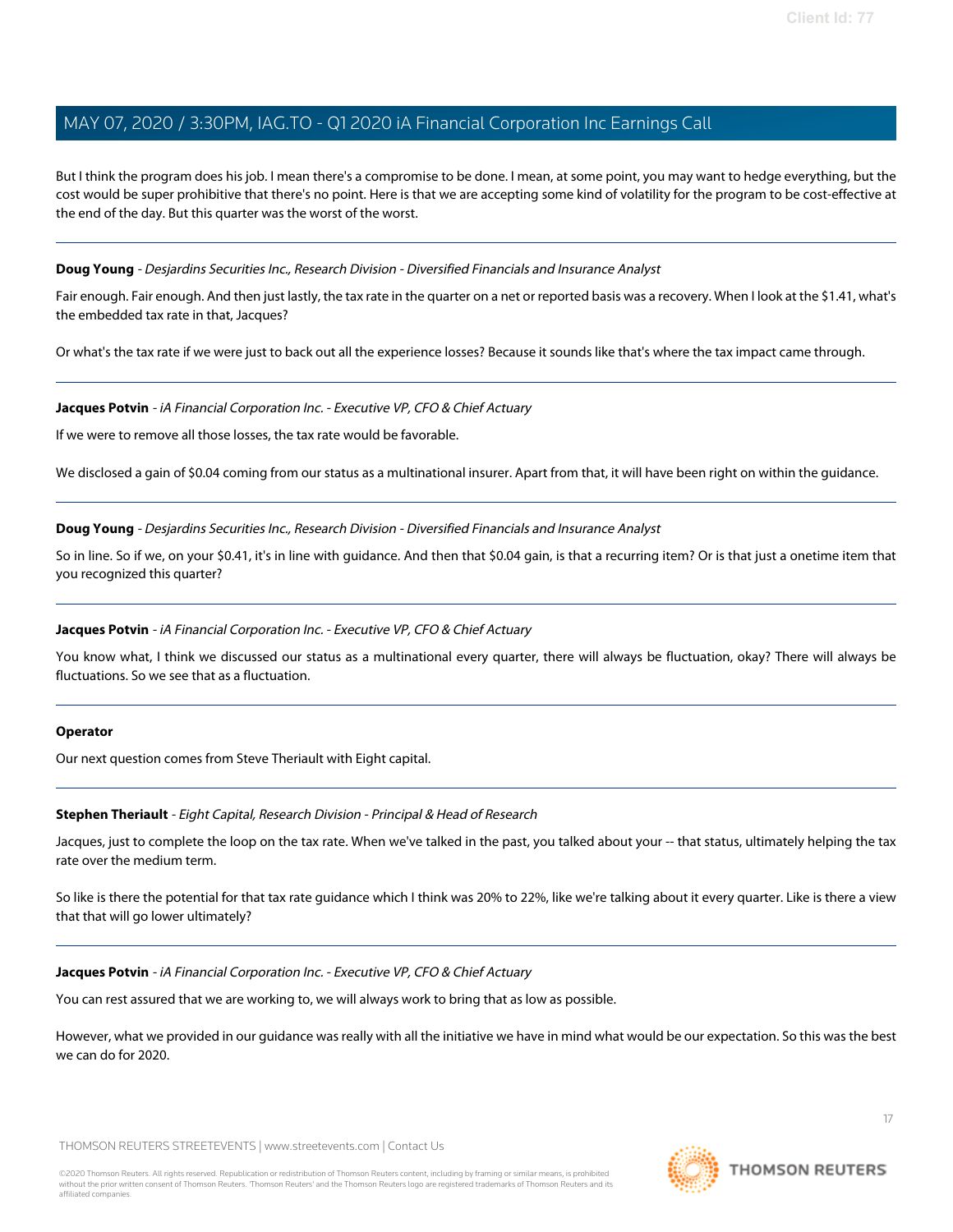But I think the program does his job. I mean there's a compromise to be done. I mean, at some point, you may want to hedge everything, but the cost would be super prohibitive that there's no point. Here is that we are accepting some kind of volatility for the program to be cost-effective at the end of the day. But this quarter was the worst of the worst.

#### **Doug Young** - Desjardins Securities Inc., Research Division - Diversified Financials and Insurance Analyst

Fair enough. Fair enough. And then just lastly, the tax rate in the quarter on a net or reported basis was a recovery. When I look at the \$1.41, what's the embedded tax rate in that, Jacques?

Or what's the tax rate if we were just to back out all the experience losses? Because it sounds like that's where the tax impact came through.

#### **Jacques Potvin** - iA Financial Corporation Inc. - Executive VP, CFO & Chief Actuary

If we were to remove all those losses, the tax rate would be favorable.

We disclosed a gain of \$0.04 coming from our status as a multinational insurer. Apart from that, it will have been right on within the quidance.

**Doug Young** - Desjardins Securities Inc., Research Division - Diversified Financials and Insurance Analyst

So in line. So if we, on your \$0.41, it's in line with guidance. And then that \$0.04 gain, is that a recurring item? Or is that just a onetime item that you recognized this quarter?

#### **Jacques Potvin** - iA Financial Corporation Inc. - Executive VP, CFO & Chief Actuary

You know what, I think we discussed our status as a multinational every quarter, there will always be fluctuation, okay? There will always be fluctuations. So we see that as a fluctuation.

#### <span id="page-16-0"></span>**Operator**

Our next question comes from Steve Theriault with Eight capital.

#### **Stephen Theriault** - Eight Capital, Research Division - Principal & Head of Research

Jacques, just to complete the loop on the tax rate. When we've talked in the past, you talked about your -- that status, ultimately helping the tax rate over the medium term.

So like is there the potential for that tax rate guidance which I think was 20% to 22%, like we're talking about it every quarter. Like is there a view that that will go lower ultimately?

#### **Jacques Potvin** - iA Financial Corporation Inc. - Executive VP, CFO & Chief Actuary

You can rest assured that we are working to, we will always work to bring that as low as possible.

However, what we provided in our guidance was really with all the initiative we have in mind what would be our expectation. So this was the best we can do for 2020.

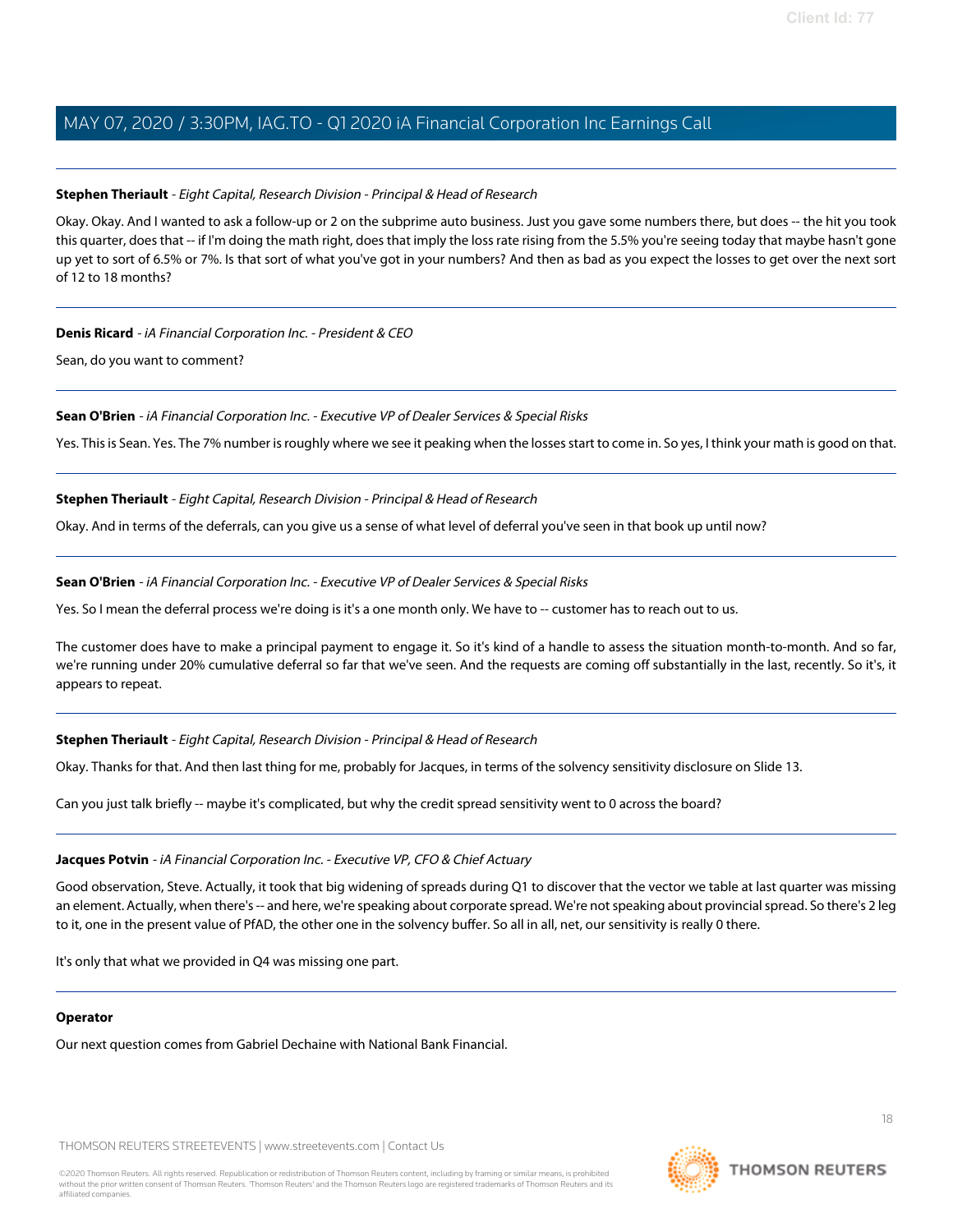### **Stephen Theriault** - Eight Capital, Research Division - Principal & Head of Research

Okay. Okay. And I wanted to ask a follow-up or 2 on the subprime auto business. Just you gave some numbers there, but does -- the hit you took this quarter, does that -- if I'm doing the math right, does that imply the loss rate rising from the 5.5% you're seeing today that maybe hasn't gone up yet to sort of 6.5% or 7%. Is that sort of what you've got in your numbers? And then as bad as you expect the losses to get over the next sort of 12 to 18 months?

#### **Denis Ricard** - iA Financial Corporation Inc. - President & CEO

Sean, do you want to comment?

#### **Sean O'Brien** - iA Financial Corporation Inc. - Executive VP of Dealer Services & Special Risks

Yes. This is Sean. Yes. The 7% number is roughly where we see it peaking when the losses start to come in. So yes, I think your math is good on that.

### **Stephen Theriault** - Eight Capital, Research Division - Principal & Head of Research

Okay. And in terms of the deferrals, can you give us a sense of what level of deferral you've seen in that book up until now?

#### **Sean O'Brien** - iA Financial Corporation Inc. - Executive VP of Dealer Services & Special Risks

Yes. So I mean the deferral process we're doing is it's a one month only. We have to -- customer has to reach out to us.

The customer does have to make a principal payment to engage it. So it's kind of a handle to assess the situation month-to-month. And so far, we're running under 20% cumulative deferral so far that we've seen. And the requests are coming off substantially in the last, recently. So it's, it appears to repeat.

# **Stephen Theriault** - Eight Capital, Research Division - Principal & Head of Research

Okay. Thanks for that. And then last thing for me, probably for Jacques, in terms of the solvency sensitivity disclosure on Slide 13.

Can you just talk briefly -- maybe it's complicated, but why the credit spread sensitivity went to 0 across the board?

#### **Jacques Potvin** - iA Financial Corporation Inc. - Executive VP, CFO & Chief Actuary

Good observation, Steve. Actually, it took that big widening of spreads during Q1 to discover that the vector we table at last quarter was missing an element. Actually, when there's -- and here, we're speaking about corporate spread. We're not speaking about provincial spread. So there's 2 leg to it, one in the present value of PfAD, the other one in the solvency buffer. So all in all, net, our sensitivity is really 0 there.

It's only that what we provided in Q4 was missing one part.

#### **Operator**

Our next question comes from Gabriel Dechaine with National Bank Financial.

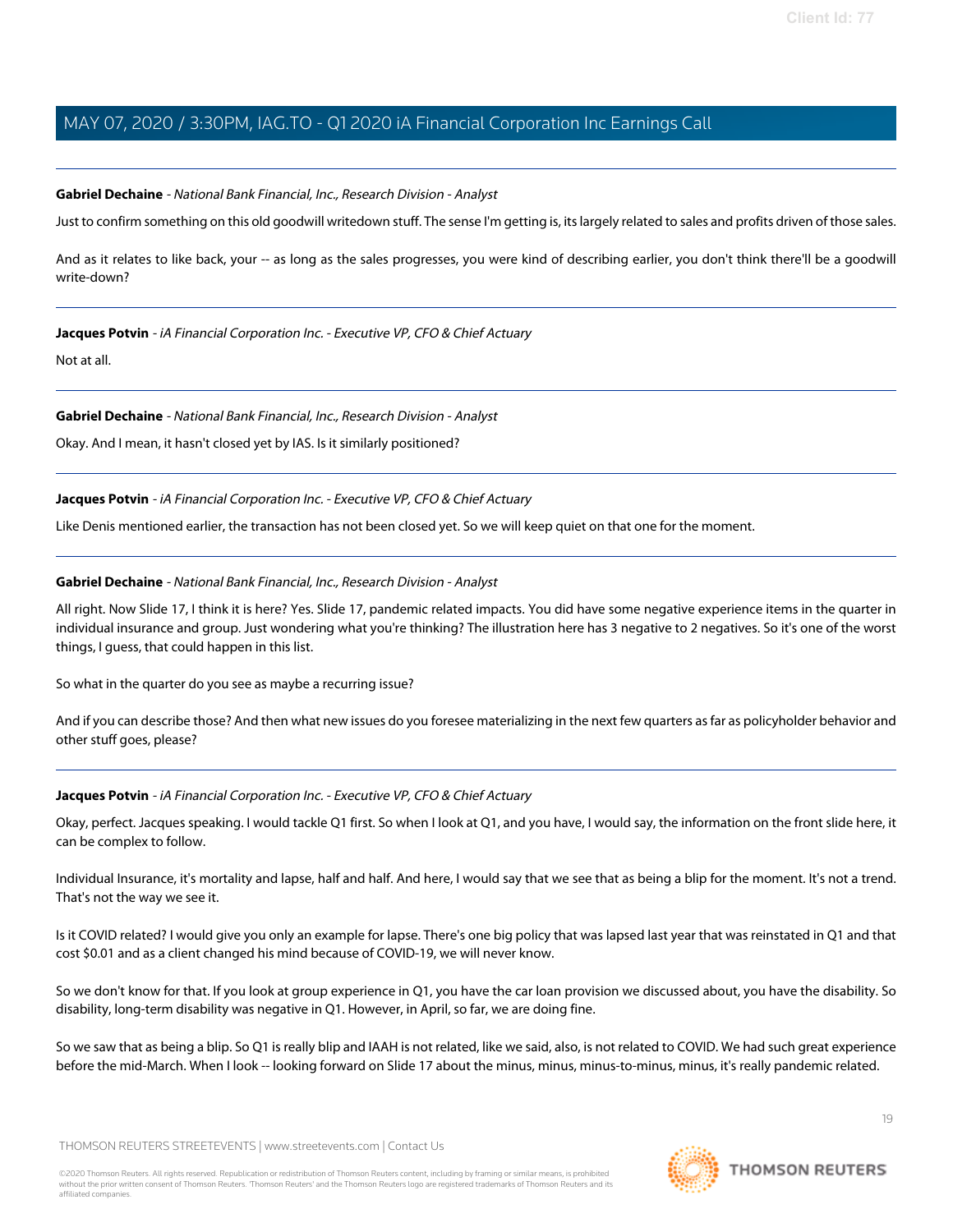### <span id="page-18-0"></span>**Gabriel Dechaine** - National Bank Financial, Inc., Research Division - Analyst

Just to confirm something on this old goodwill writedown stuff. The sense I'm getting is, its largely related to sales and profits driven of those sales.

And as it relates to like back, your -- as long as the sales progresses, you were kind of describing earlier, you don't think there'll be a goodwill write-down?

#### **Jacques Potvin** - iA Financial Corporation Inc. - Executive VP, CFO & Chief Actuary

Not at all.

#### **Gabriel Dechaine** - National Bank Financial, Inc., Research Division - Analyst

Okay. And I mean, it hasn't closed yet by IAS. Is it similarly positioned?

### **Jacques Potvin** - iA Financial Corporation Inc. - Executive VP, CFO & Chief Actuary

Like Denis mentioned earlier, the transaction has not been closed yet. So we will keep quiet on that one for the moment.

### **Gabriel Dechaine** - National Bank Financial, Inc., Research Division - Analyst

All right. Now Slide 17, I think it is here? Yes. Slide 17, pandemic related impacts. You did have some negative experience items in the quarter in individual insurance and group. Just wondering what you're thinking? The illustration here has 3 negative to 2 negatives. So it's one of the worst things, I guess, that could happen in this list.

So what in the quarter do you see as maybe a recurring issue?

And if you can describe those? And then what new issues do you foresee materializing in the next few quarters as far as policyholder behavior and other stuff goes, please?

#### **Jacques Potvin** - iA Financial Corporation Inc. - Executive VP, CFO & Chief Actuary

Okay, perfect. Jacques speaking. I would tackle Q1 first. So when I look at Q1, and you have, I would say, the information on the front slide here, it can be complex to follow.

Individual Insurance, it's mortality and lapse, half and half. And here, I would say that we see that as being a blip for the moment. It's not a trend. That's not the way we see it.

Is it COVID related? I would give you only an example for lapse. There's one big policy that was lapsed last year that was reinstated in Q1 and that cost \$0.01 and as a client changed his mind because of COVID-19, we will never know.

So we don't know for that. If you look at group experience in Q1, you have the car loan provision we discussed about, you have the disability. So disability, long-term disability was negative in Q1. However, in April, so far, we are doing fine.

So we saw that as being a blip. So Q1 is really blip and IAAH is not related, like we said, also, is not related to COVID. We had such great experience before the mid-March. When I look -- looking forward on Slide 17 about the minus, minus, minus, minus, minus, it's really pandemic related.

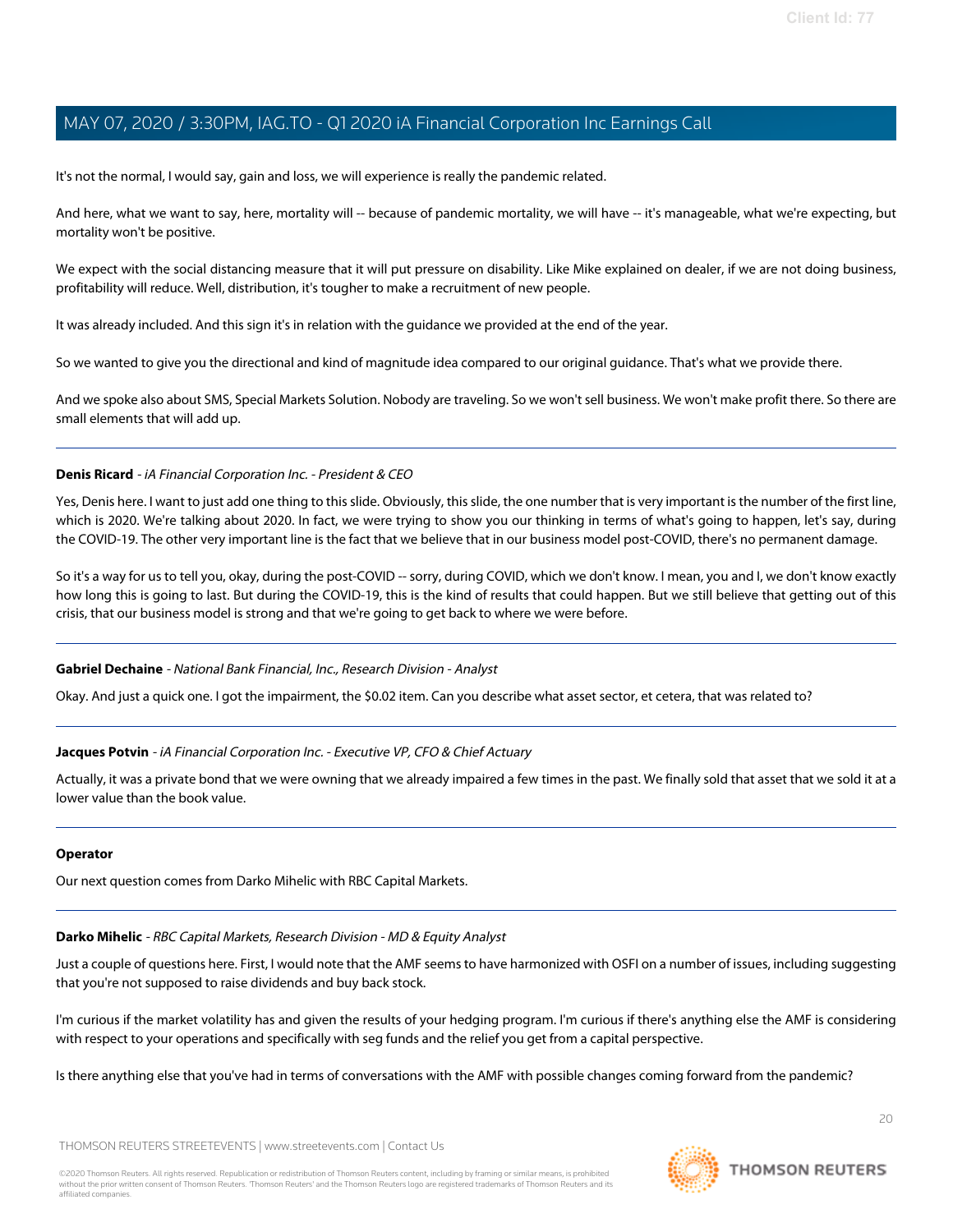It's not the normal, I would say, gain and loss, we will experience is really the pandemic related.

And here, what we want to say, here, mortality will -- because of pandemic mortality, we will have -- it's manageable, what we're expecting, but mortality won't be positive.

We expect with the social distancing measure that it will put pressure on disability. Like Mike explained on dealer, if we are not doing business, profitability will reduce. Well, distribution, it's tougher to make a recruitment of new people.

It was already included. And this sign it's in relation with the guidance we provided at the end of the year.

So we wanted to give you the directional and kind of magnitude idea compared to our original guidance. That's what we provide there.

And we spoke also about SMS, Special Markets Solution. Nobody are traveling. So we won't sell business. We won't make profit there. So there are small elements that will add up.

### **Denis Ricard** - iA Financial Corporation Inc. - President & CEO

Yes, Denis here. I want to just add one thing to this slide. Obviously, this slide, the one number that is very important is the number of the first line, which is 2020. We're talking about 2020. In fact, we were trying to show you our thinking in terms of what's going to happen, let's say, during the COVID-19. The other very important line is the fact that we believe that in our business model post-COVID, there's no permanent damage.

So it's a way for us to tell you, okay, during the post-COVID -- sorry, during COVID, which we don't know. I mean, you and I, we don't know exactly how long this is going to last. But during the COVID-19, this is the kind of results that could happen. But we still believe that getting out of this crisis, that our business model is strong and that we're going to get back to where we were before.

#### **Gabriel Dechaine** - National Bank Financial, Inc., Research Division - Analyst

Okay. And just a quick one. I got the impairment, the \$0.02 item. Can you describe what asset sector, et cetera, that was related to?

### **Jacques Potvin** - iA Financial Corporation Inc. - Executive VP, CFO & Chief Actuary

Actually, it was a private bond that we were owning that we already impaired a few times in the past. We finally sold that asset that we sold it at a lower value than the book value.

#### <span id="page-19-0"></span>**Operator**

Our next question comes from Darko Mihelic with RBC Capital Markets.

#### **Darko Mihelic** - RBC Capital Markets, Research Division - MD & Equity Analyst

Just a couple of questions here. First, I would note that the AMF seems to have harmonized with OSFI on a number of issues, including suggesting that you're not supposed to raise dividends and buy back stock.

I'm curious if the market volatility has and given the results of your hedging program. I'm curious if there's anything else the AMF is considering with respect to your operations and specifically with seg funds and the relief you get from a capital perspective.

Is there anything else that you've had in terms of conversations with the AMF with possible changes coming forward from the pandemic?

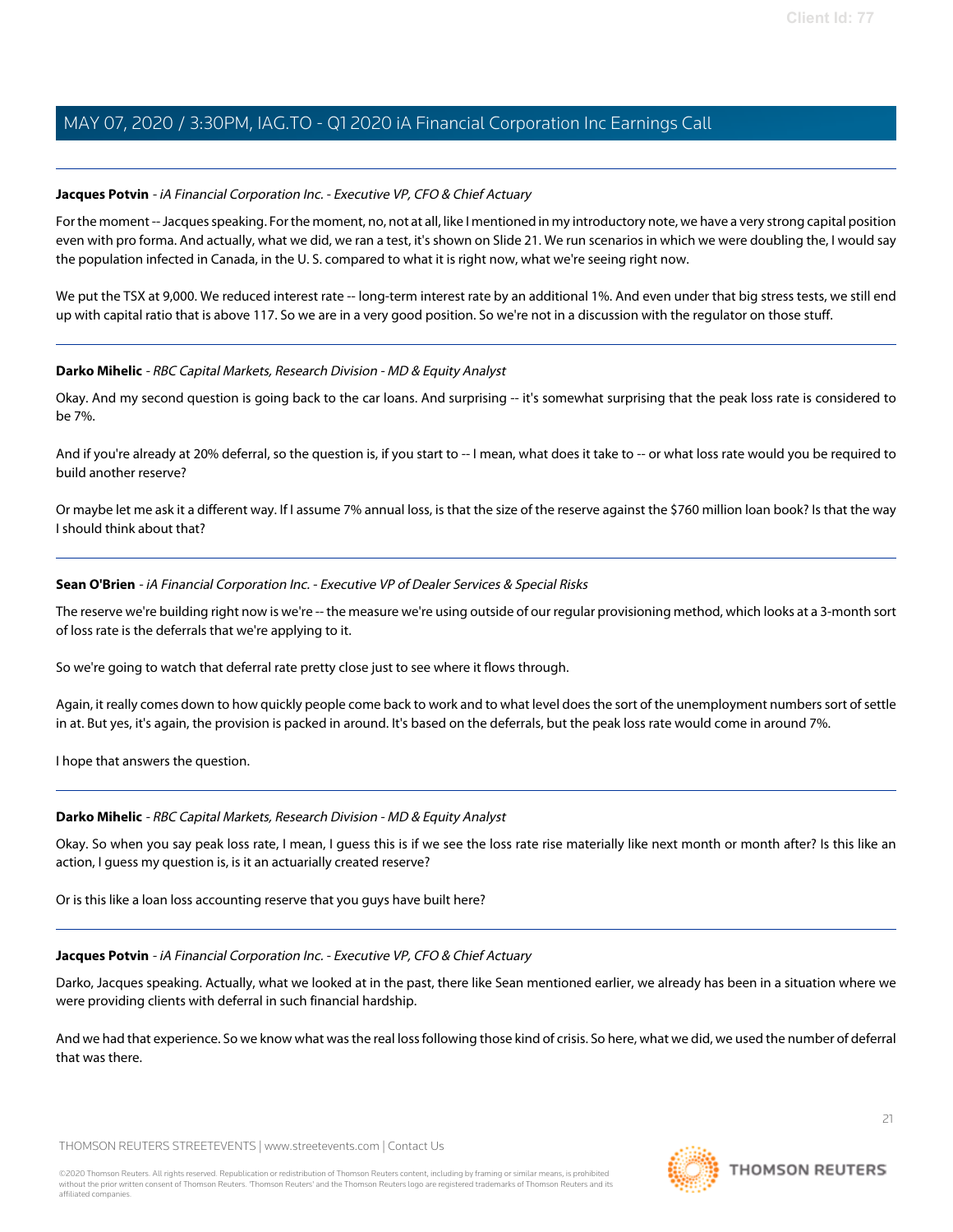### **Jacques Potvin** - iA Financial Corporation Inc. - Executive VP, CFO & Chief Actuary

For the moment -- Jacques speaking. For the moment, no, not at all, like I mentioned in my introductory note, we have a very strong capital position even with pro forma. And actually, what we did, we ran a test, it's shown on Slide 21. We run scenarios in which we were doubling the, I would say the population infected in Canada, in the U. S. compared to what it is right now, what we're seeing right now.

We put the TSX at 9,000. We reduced interest rate -- long-term interest rate by an additional 1%. And even under that big stress tests, we still end up with capital ratio that is above 117. So we are in a very good position. So we're not in a discussion with the regulator on those stuff.

#### **Darko Mihelic** - RBC Capital Markets, Research Division - MD & Equity Analyst

Okay. And my second question is going back to the car loans. And surprising -- it's somewhat surprising that the peak loss rate is considered to be 7%.

And if you're already at 20% deferral, so the question is, if you start to -- I mean, what does it take to -- or what loss rate would you be required to build another reserve?

Or maybe let me ask it a different way. If I assume 7% annual loss, is that the size of the reserve against the \$760 million loan book? Is that the way I should think about that?

### **Sean O'Brien** - iA Financial Corporation Inc. - Executive VP of Dealer Services & Special Risks

The reserve we're building right now is we're -- the measure we're using outside of our regular provisioning method, which looks at a 3-month sort of loss rate is the deferrals that we're applying to it.

So we're going to watch that deferral rate pretty close just to see where it flows through.

Again, it really comes down to how quickly people come back to work and to what level does the sort of the unemployment numbers sort of settle in at. But yes, it's again, the provision is packed in around. It's based on the deferrals, but the peak loss rate would come in around 7%.

I hope that answers the question.

# **Darko Mihelic** - RBC Capital Markets, Research Division - MD & Equity Analyst

Okay. So when you say peak loss rate, I mean, I guess this is if we see the loss rate rise materially like next month or month after? Is this like an action, I guess my question is, is it an actuarially created reserve?

Or is this like a loan loss accounting reserve that you guys have built here?

#### **Jacques Potvin** - iA Financial Corporation Inc. - Executive VP, CFO & Chief Actuary

Darko, Jacques speaking. Actually, what we looked at in the past, there like Sean mentioned earlier, we already has been in a situation where we were providing clients with deferral in such financial hardship.

And we had that experience. So we know what was the real loss following those kind of crisis. So here, what we did, we used the number of deferral that was there.

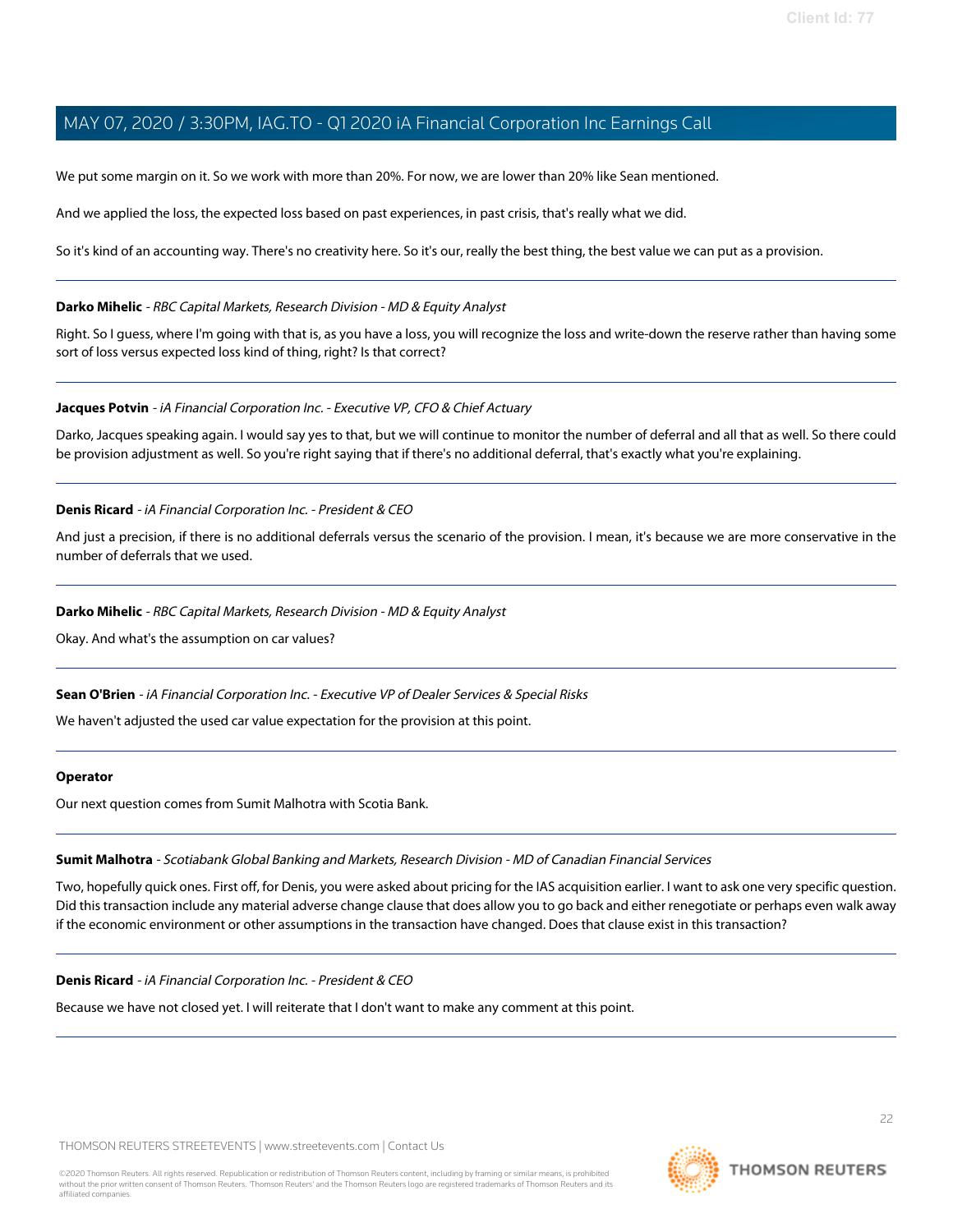We put some margin on it. So we work with more than 20%. For now, we are lower than 20% like Sean mentioned.

And we applied the loss, the expected loss based on past experiences, in past crisis, that's really what we did.

So it's kind of an accounting way. There's no creativity here. So it's our, really the best thing, the best value we can put as a provision.

### **Darko Mihelic** - RBC Capital Markets, Research Division - MD & Equity Analyst

Right. So I guess, where I'm going with that is, as you have a loss, you will recognize the loss and write-down the reserve rather than having some sort of loss versus expected loss kind of thing, right? Is that correct?

### **Jacques Potvin** - iA Financial Corporation Inc. - Executive VP, CFO & Chief Actuary

Darko, Jacques speaking again. I would say yes to that, but we will continue to monitor the number of deferral and all that as well. So there could be provision adjustment as well. So you're right saying that if there's no additional deferral, that's exactly what you're explaining.

### **Denis Ricard** - iA Financial Corporation Inc. - President & CEO

And just a precision, if there is no additional deferrals versus the scenario of the provision. I mean, it's because we are more conservative in the number of deferrals that we used.

### **Darko Mihelic** - RBC Capital Markets, Research Division - MD & Equity Analyst

Okay. And what's the assumption on car values?

#### **Sean O'Brien** - iA Financial Corporation Inc. - Executive VP of Dealer Services & Special Risks

We haven't adjusted the used car value expectation for the provision at this point.

#### <span id="page-21-0"></span>**Operator**

Our next question comes from Sumit Malhotra with Scotia Bank.

#### **Sumit Malhotra** - Scotiabank Global Banking and Markets, Research Division - MD of Canadian Financial Services

Two, hopefully quick ones. First off, for Denis, you were asked about pricing for the IAS acquisition earlier. I want to ask one very specific question. Did this transaction include any material adverse change clause that does allow you to go back and either renegotiate or perhaps even walk away if the economic environment or other assumptions in the transaction have changed. Does that clause exist in this transaction?

#### **Denis Ricard** - iA Financial Corporation Inc. - President & CEO

Because we have not closed yet. I will reiterate that I don't want to make any comment at this point.

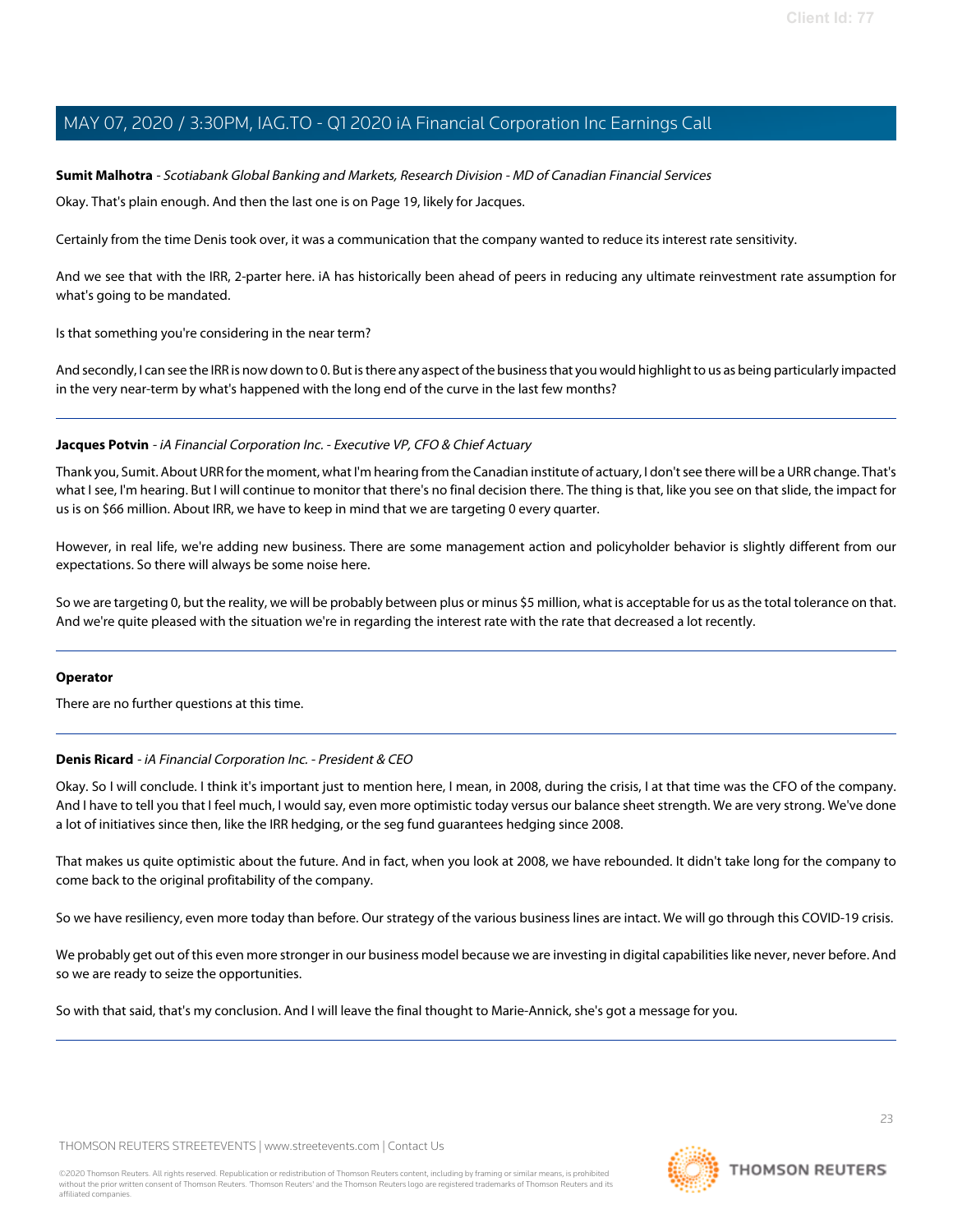#### **Sumit Malhotra** - Scotiabank Global Banking and Markets, Research Division - MD of Canadian Financial Services

Okay. That's plain enough. And then the last one is on Page 19, likely for Jacques.

Certainly from the time Denis took over, it was a communication that the company wanted to reduce its interest rate sensitivity.

And we see that with the IRR, 2-parter here. iA has historically been ahead of peers in reducing any ultimate reinvestment rate assumption for what's going to be mandated.

Is that something you're considering in the near term?

And secondly, I can see the IRR is now down to 0. But is there any aspect of the business that you would highlight to us as being particularly impacted in the very near-term by what's happened with the long end of the curve in the last few months?

#### **Jacques Potvin** - iA Financial Corporation Inc. - Executive VP, CFO & Chief Actuary

Thank you, Sumit. About URR for the moment, what I'm hearing from the Canadian institute of actuary, I don't see there will be a URR change. That's what I see, I'm hearing. But I will continue to monitor that there's no final decision there. The thing is that, like you see on that slide, the impact for us is on \$66 million. About IRR, we have to keep in mind that we are targeting 0 every quarter.

However, in real life, we're adding new business. There are some management action and policyholder behavior is slightly different from our expectations. So there will always be some noise here.

So we are targeting 0, but the reality, we will be probably between plus or minus \$5 million, what is acceptable for us as the total tolerance on that. And we're quite pleased with the situation we're in regarding the interest rate with the rate that decreased a lot recently.

#### **Operator**

There are no further questions at this time.

#### **Denis Ricard** - iA Financial Corporation Inc. - President & CEO

Okay. So I will conclude. I think it's important just to mention here, I mean, in 2008, during the crisis, I at that time was the CFO of the company. And I have to tell you that I feel much, I would say, even more optimistic today versus our balance sheet strength. We are very strong. We've done a lot of initiatives since then, like the IRR hedging, or the seg fund guarantees hedging since 2008.

That makes us quite optimistic about the future. And in fact, when you look at 2008, we have rebounded. It didn't take long for the company to come back to the original profitability of the company.

So we have resiliency, even more today than before. Our strategy of the various business lines are intact. We will go through this COVID-19 crisis.

We probably get out of this even more stronger in our business model because we are investing in digital capabilities like never, never before. And so we are ready to seize the opportunities.

So with that said, that's my conclusion. And I will leave the final thought to Marie-Annick, she's got a message for you.